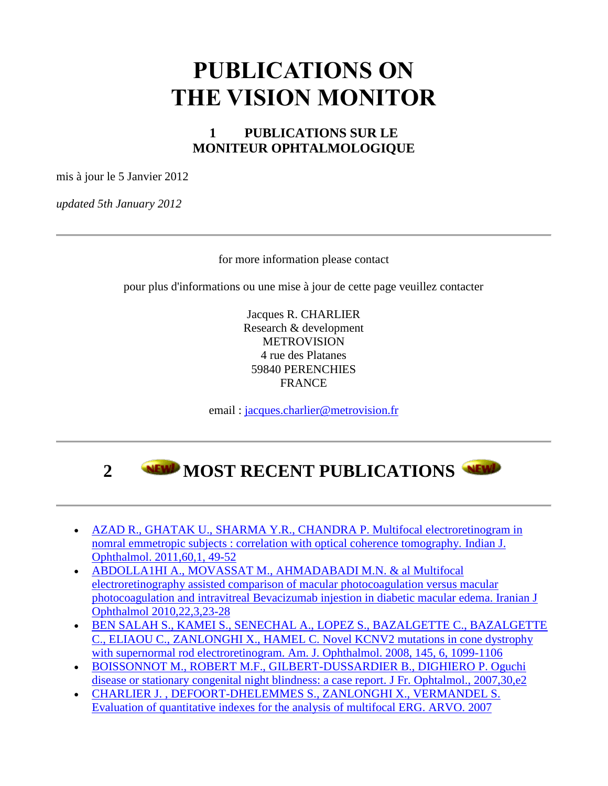#### **PUBLICATIONS ON THE VISION MONITOR**

#### **1 PUBLICATIONS SUR LE MONITEUR OPHTALMOLOGIQUE**

mis à jour le 5 Janvier 2012

*updated 5th January 2012*

for more information please contact

pour plus d'informations ou une mise à jour de cette page veuillez contacter

Jacques R. CHARLIER Research & development METROVISION 4 rue des Platanes 59840 PERENCHIES FRANCE

email : [jacques.charlier@metrovision.fr](http://www.metrovision.fr/mailto/jacques.charlier@metrovision.fr)



- [AZAD R., GHATAK U., SHARMA Y.R., CHANDRA P. Multifocal electroretinogram in](http://www.metrovision.fr/pdf/2011_azad.pdf)  [nomral emmetropic subjects : correlation with optical coherence tomography. Indian J.](http://www.metrovision.fr/pdf/2011_azad.pdf)  [Ophthalmol. 2011,60,1, 49-52](http://www.metrovision.fr/pdf/2011_azad.pdf)
- [ABDOLLA1HI A., MOVASSAT M., AHMADABADI M.N. & al Multifocal](http://www.metrovision.fr/pdf/2010_abdollahi.pdf)  [electroretinography assisted comparison of macular photocoagulation versus macular](http://www.metrovision.fr/pdf/2010_abdollahi.pdf)  [photocoagulation and intravitreal Bevacizumab injestion in diabetic macular edema. Iranian J](http://www.metrovision.fr/pdf/2010_abdollahi.pdf)  [Ophthalmol 2010,22,3,23-28](http://www.metrovision.fr/pdf/2010_abdollahi.pdf)
- [BEN SALAH S., KAMEI S., SENECHAL A., LOPEZ S., BAZALGETTE C., BAZALGETTE](http://www.metrovision.fr/pdf/2008_bensalah.pdf)  [C., ELIAOU C., ZANLONGHI X., HAMEL C. Novel KCNV2](http://www.metrovision.fr/pdf/2008_bensalah.pdf) mutations in cone dystrophy [with supernormal rod electroretinogram. Am. J. Ophthalmol. 2008, 145, 6, 1099-1106](http://www.metrovision.fr/pdf/2008_bensalah.pdf)
- [BOISSONNOT M., ROBERT M.F., GILBERT-DUSSARDIER B., DIGHIERO P. Oguchi](http://www.metrovision.fr/pdf/2007_boissonnot.pdf)  disease [or stationary congenital night blindness: a case report. J Fr. Ophtalmol., 2007,30,e2](http://www.metrovision.fr/pdf/2007_boissonnot.pdf)
- [CHARLIER J. , DEFOORT-DHELEMMES S., ZANLONGHI X., VERMANDEL S.](http://www.metrovision.fr/pdf/2007_charlier.pdf)  Evaluation of quantitative indexes for the [analysis of multifocal ERG. ARVO. 2007](http://www.metrovision.fr/pdf/2007_charlier.pdf)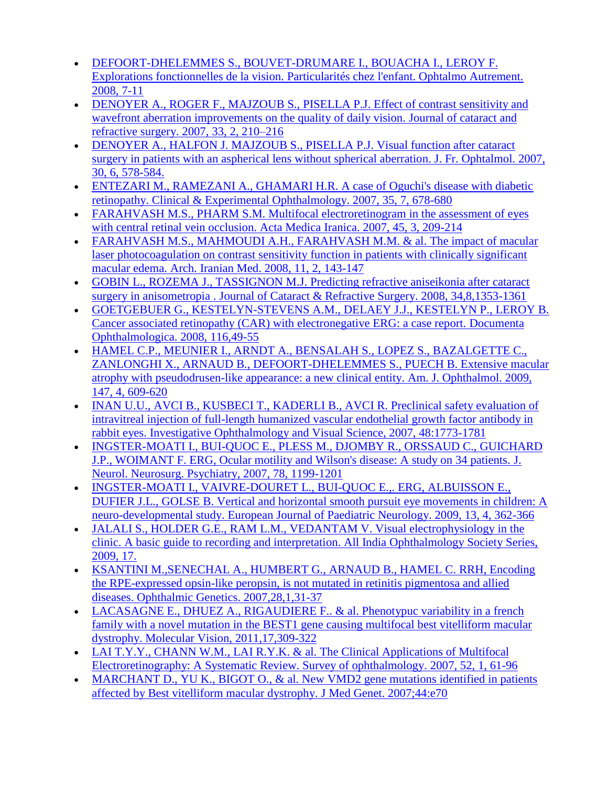- [DEFOORT-DHELEMMES S., BOUVET-DRUMARE I., BOUACHA I., LEROY F.](http://www.metrovision.fr/pdf/2008_defoort.pdf)  [Explorations fonctionnelles de la vision. Particularités chez l'enfant. Ophtalmo Autrement.](http://www.metrovision.fr/pdf/2008_defoort.pdf)  [2008, 7-11](http://www.metrovision.fr/pdf/2008_defoort.pdf)
- [DENOYER A., ROGER F., MAJZOUB S., PISELLA P.J. Effect of contrast sensitivity and](http://www.metrovision.fr/pdf/2007_denoyer.pdf)  [wavefront aberration improvements on the quality of daily vision. Journal of cataract and](http://www.metrovision.fr/pdf/2007_denoyer.pdf) [refractive surgery. 2007, 33, 2, 210–216](http://www.metrovision.fr/pdf/2007_denoyer.pdf)
- [DENOYER A., HALFON J. MAJZOUB S., PISELLA P.J. Visual function after cataract](http://www.metrovision.fr/pdf/2007_denoyer_B.pdf)  [surgery in patients with an aspherical lens without spherical aberration. J. Fr. Ophtalmol. 2007,](http://www.metrovision.fr/pdf/2007_denoyer_B.pdf)  [30, 6, 578-584.](http://www.metrovision.fr/pdf/2007_denoyer_B.pdf)
- [ENTEZARI M., RAMEZANI A., GHAMARI H.R. A case of Oguchi's disease with diabetic](http://www.metrovision.fr/pdf/2007_entezari.pdf)  [retinopathy. Clinical & Experimental Ophthalmology. 2007, 35, 7, 678-680](http://www.metrovision.fr/pdf/2007_entezari.pdf)
- FARAHVASH M.S., PHARM S.M. Multifocal electroretinogram in the assessment of eyes [with central retinal vein occlusion. Acta Medica Iranica. 2007, 45, 3, 209-214](http://www.metrovision.fr/pdf/2007_farahvash.pdf)
- FARAHVASH M.S., MAHMOUDI A.H., FARAHVASH M.M. & al. The impact of macular [laser photocoagulation on contrast sensitivity function in patients with clinically significant](http://www.metrovision.fr/pdf/2008_farahvash.pdf)  [macular edema. Arch. Iranian Med. 2008, 11, 2, 143-147](http://www.metrovision.fr/pdf/2008_farahvash.pdf)
- [GOBIN L., ROZEMA J., TASSIGNON M.J. Predicting refractive aniseikonia after cataract](http://www.metrovision.fr/pdf/2008_gobin.pdf)  [surgery in anisometropia . Journal of Cataract & Refractive Surgery. 2008, 34,8,1353-1361](http://www.metrovision.fr/pdf/2008_gobin.pdf)
- [GOETGEBUER G., KESTELYN-STEVENS A.M., DELAEY J.J., KESTELYN P., LEROY B.](http://www.metrovision.fr/pdf/2008_goetgebuer.pdf)  [Cancer associated retinopathy \(CAR\) with electronegative ERG: a case report. Documenta](http://www.metrovision.fr/pdf/2008_goetgebuer.pdf)  [Ophthalmologica. 2008, 116,49-55](http://www.metrovision.fr/pdf/2008_goetgebuer.pdf)
- [HAMEL C.P., MEUNIER I., ARNDT A., BENSALAH S., LOPEZ S., BAZALGETTE C.,](http://www.metrovision.fr/pdf/2009_hamel.pdf)  [ZANLONGHI X., ARNAUD B., DEFOORT-DHELEMMES S., PUECH B. Extensive macular](http://www.metrovision.fr/pdf/2009_hamel.pdf)  [atrophy with pseudodrusen-like appearance: a new clinical entity. Am. J. Ophthalmol. 2009,](http://www.metrovision.fr/pdf/2009_hamel.pdf)  [147, 4, 609-620](http://www.metrovision.fr/pdf/2009_hamel.pdf)
- [INAN U.U., AVCI B., KUSBECI T., KADERLI B., AVCI R. Preclinical safety evaluation of](http://www.metrovision.fr/pdf/2007_inan.pdf)  [intravitreal injection of full-length humanized vascular endothelial growth factor antibody in](http://www.metrovision.fr/pdf/2007_inan.pdf)  [rabbit eyes. Investigative Ophthalmology and Visual Science, 2007, 48:1773-1781](http://www.metrovision.fr/pdf/2007_inan.pdf)
- [INGSTER-MOATI I., BUI-QUOC E., PLESS M., DJOMBY R., ORSSAUD C., GUICHARD](http://www.metrovision.fr/pdf/2007_ingster_moati.pdf)  [J.P., WOIMANT F. ERG, Ocular motility and Wilson's disease: A study on 34 patients. J.](http://www.metrovision.fr/pdf/2007_ingster_moati.pdf)  [Neurol. Neurosurg. Psychiatry, 2007, 78, 1199-1201](http://www.metrovision.fr/pdf/2007_ingster_moati.pdf)
- [INGSTER-MOATI I., VAIVRE-DOURET L., BUI-QUOC E.,. ERG, ALBUISSON E.,](http://www.metrovision.fr/pdf/2009_ingster_moati.pdf)  [DUFIER J.L., GOLSE B. Vertical and horizontal smooth pursuit eye movements in children: A](http://www.metrovision.fr/pdf/2009_ingster_moati.pdf)  [neuro-developmental study. European Journal of Paediatric Neurology. 2009, 13, 4, 362-366](http://www.metrovision.fr/pdf/2009_ingster_moati.pdf)
- [JALALI S., HOLDER G.E., RAM L.M., VEDANTAM V. Visual electrophysiology in the](http://www.metrovision.fr/pdf/2009_jalali.pdf)  [clinic. A basic guide to recording and interpretation. All India Ophthalmology Society Series,](http://www.metrovision.fr/pdf/2009_jalali.pdf)  [2009, 17.](http://www.metrovision.fr/pdf/2009_jalali.pdf)
- [KSANTINI M.,SENECHAL A., HUMBERT G., ARNAUD B., HAMEL C. RRH, Encoding](http://www.metrovision.fr/pdf/2007_ksantini.pdf)  [the RPE-expressed opsin-like peropsin, is not mutated in retinitis pigmentosa and allied](http://www.metrovision.fr/pdf/2007_ksantini.pdf)  [diseases. Ophthalmic Genetics. 2007,28,1,31-37](http://www.metrovision.fr/pdf/2007_ksantini.pdf)
- LACASAGNE E., DHUEZ A., RIGAUDIERE F.. & al. Phenotypuc variability in a french [family with a novel mutation in the BEST1 gene causing multifocal best vitelliform macular](http://www.metrovision.fr/pdf/2011_lacassagne.pdf)  [dystrophy. Molecular Vision, 2011,17,309-322](http://www.metrovision.fr/pdf/2011_lacassagne.pdf)
- LAI T.Y.Y., CHANN W.M., LAI R.Y.K. & al. The Clinical Applications of Multifocal [Electroretinography: A Systematic Review. Survey of ophthalmology. 2007, 52, 1, 61-96](http://www.metrovision.fr/pdf/2007_lai.pdf)
- MARCHANT D., YU K., BIGOT O., & al. New VMD2 gene mutations identified in patients [affected by Best vitelliform macular dystrophy. J Med Genet. 2007;44:e70](http://www.metrovision.fr/pdf/2007_marchant.pdf)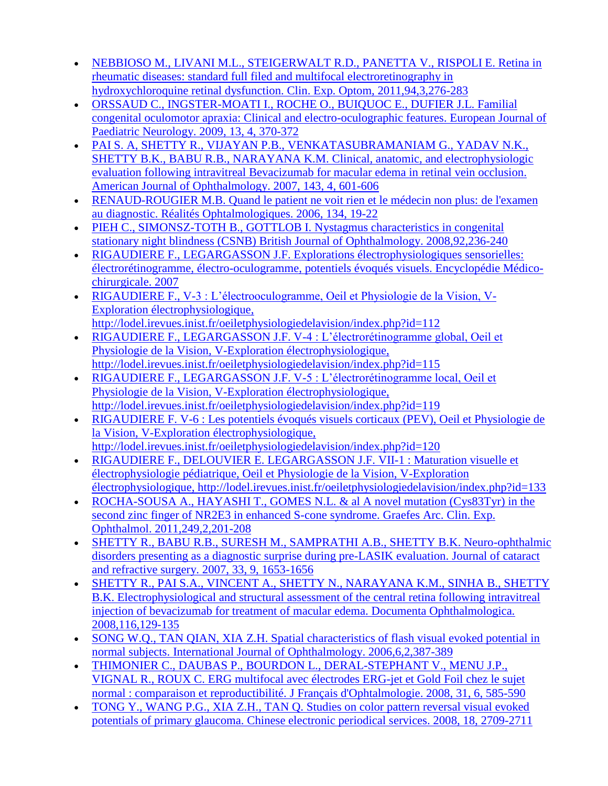- [NEBBIOSO M., LIVANI M.L., STEIGERWALT R.D., PANETTA V., RISPOLI E. Retina in](http://www.metrovision.fr/pdf/2010_nebbioso.pdf)  [rheumatic diseases: standard full filed and multifocal electroretinography in](http://www.metrovision.fr/pdf/2010_nebbioso.pdf)  [hydroxychloroquine retinal dysfunction. Clin. Exp. Optom, 2011,94,3,276-283](http://www.metrovision.fr/pdf/2010_nebbioso.pdf)
- [ORSSAUD C., INGSTER-MOATI I., ROCHE O., BUIQUOC E., DUFIER J.L. Familial](http://www.metrovision.fr/pdf/2009_orssaud.pdf)  [congenital oculomotor apraxia: Clinical and electro-oculographic features. European Journal of](http://www.metrovision.fr/pdf/2009_orssaud.pdf)  [Paediatric Neurology. 2009,](http://www.metrovision.fr/pdf/2009_orssaud.pdf) 13, 4, 370-372
- [PAI S. A, SHETTY R., VIJAYAN P.B., VENKATASUBRAMANIAM G., YADAV N.K.,](http://www.metrovision.fr/pdf/2007_pai.pdf)  [SHETTY B.K., BABU R.B., NARAYANA K.M. Clinical, anatomic, and electrophysiologic](http://www.metrovision.fr/pdf/2007_pai.pdf)  [evaluation following intravitreal Bevacizumab for macular edema in retinal vein occlusion.](http://www.metrovision.fr/pdf/2007_pai.pdf)  [American Journal of Ophthalmology. 2007, 143, 4, 601-606](http://www.metrovision.fr/pdf/2007_pai.pdf)
- [RENAUD-ROUGIER M.B. Quand le patient ne voit rien et le médecin non plus: de l'examen](http://www.metrovision.fr/pdf/2006_rougier.pdf)  [au diagnostic. Réalités Ophtalmologiques. 2006, 134, 19-22](http://www.metrovision.fr/pdf/2006_rougier.pdf)
- [PIEH C., SIMONSZ-TOTH B., GOTTLOB I. Nystagmus characteristics in congenital](http://www.metrovision.fr/pdf/2008_pieh.pdf)  [stationary night blindness \(CSNB\) British Journal of Ophthalmology. 2008,92,236-240](http://www.metrovision.fr/pdf/2008_pieh.pdf)
- [RIGAUDIERE F., LEGARGASSON J.F. Explorations électrophysiologiques sensorielles:](http://www.metrovision.fr/pdf/2007_rigaudiere.pdf)  [électrorétinogramme, électro-oculogramme, potentiels évoqués visuels. Encyclopédie Médico](http://www.metrovision.fr/pdf/2007_rigaudiere.pdf)[chirurgicale. 2007](http://www.metrovision.fr/pdf/2007_rigaudiere.pdf)
- [RIGAUDIERE F., V-3 : L'électrooculogramme, Oeil et Physiologie de la Vision, V-](http://www.metrovision.fr/pdf/2009_rigaudiere.pdf)[Exploration électrophysiologique,](http://www.metrovision.fr/pdf/2009_rigaudiere.pdf)
- [http://lodel.irevues.inist.fr/oeiletphysiologiedelavision/index.php?id=112](http://www.metrovision.fr/pdf/2009_rigaudiere.pdf) [RIGAUDIERE F., LEGARGASSON J.F. V-4 : L'électrorétinogramme global, Oeil et](http://www.metrovision.fr/pdf/2009_rigaudiere_B.pdf)  [Physiologie de la Vision, V-Exploration électrophysiologique,](http://www.metrovision.fr/pdf/2009_rigaudiere_B.pdf)  [http://lodel.irevues.inist.fr/oeiletphysiologiedelavision/index.php?id=115](http://www.metrovision.fr/pdf/2009_rigaudiere_B.pdf)
- [RIGAUDIERE F., LEGARGASSON J.F. V-5 : L'électrorétinogramme local, Oeil et](http://www.metrovision.fr/pdf/2009_rigaudiere_C.pdf)  [Physiologie de la Vision, V-Exploration électrophysiologique,](http://www.metrovision.fr/pdf/2009_rigaudiere_C.pdf)  [http://lodel.irevues.inist.fr/oeiletphysiologiedelavision/index.php?id=119](http://www.metrovision.fr/pdf/2009_rigaudiere_C.pdf)
- [RIGAUDIERE F. V-6 : Les potentiels évoqués visuels corticaux \(PEV\), Oeil et Physiologie de](http://www.metrovision.fr/pdf/2009_rigaudiere_D.pdf)  [la Vision, V-Exploration électrophysiologique,](http://www.metrovision.fr/pdf/2009_rigaudiere_D.pdf)  [http://lodel.irevues.inist.fr/oeiletphysiologiedelavision/index.php?id=120](http://www.metrovision.fr/pdf/2009_rigaudiere_D.pdf)
- [RIGAUDIERE F., DELOUVIER E. LEGARGASSON](http://www.metrovision.fr/pdf/2009_rigaudiere_D.pdf) J.F. VII-1 : Maturation visuelle et [électrophysiologie pédiatrique, Oeil et Physiologie de la Vision, V-Exploration](http://www.metrovision.fr/pdf/2009_rigaudiere_D.pdf)  [électrophysiologique, http://lodel.irevues.inist.fr/oeiletphysiologiedelavision/index.php?id=133](http://www.metrovision.fr/pdf/2009_rigaudiere_D.pdf)
- [ROCHA-SOUSA A., HAYASHI T., GOMES N.L. & al A novel mutation \(Cys83Tyr\) in the](http://www.metrovision.fr/pdf/2010_rocha.pdf)  [second zinc finger of NR2E3 in enhanced S-cone syndrome. Graefes Arc. Clin. Exp.](http://www.metrovision.fr/pdf/2010_rocha.pdf)  [Ophthalmol. 2011,249,2,201-208](http://www.metrovision.fr/pdf/2010_rocha.pdf)
- [SHETTY R., BABU R.B., SURESH M., SAMPRATHI A.B., SHETTY B.K. Neuro-ophthalmic](http://www.metrovision.fr/pdf/2007_shetty.pdf)  [disorders presenting as a diagnostic surprise during pre-LASIK evaluation. Journal of cataract](http://www.metrovision.fr/pdf/2007_shetty.pdf)  [and refractive surgery. 2007, 33, 9, 1653-1656](http://www.metrovision.fr/pdf/2007_shetty.pdf)
- [SHETTY R., PAI S.A., VINCENT A., SHETTY N., NARAYANA K.M., SINHA B., SHETTY](http://www.metrovision.fr/pdf/2008_shetty.pdf)  [B.K. Electrophysiological and structural assessment of the central retina following intravitreal](http://www.metrovision.fr/pdf/2008_shetty.pdf)  [injection of bevacizumab for treatment of macular edema. Documenta Ophthalmologica.](http://www.metrovision.fr/pdf/2008_shetty.pdf)  [2008,116,129-135](http://www.metrovision.fr/pdf/2008_shetty.pdf)
- [SONG W.Q., TAN QIAN, XIA Z.H. Spatial characteristics of flash visual evoked potential in](http://www.metrovision.fr/pdf/2006_song.pdf)  [normal subjects. International Journal of Ophthalmology. 2006,6,2,387-389](http://www.metrovision.fr/pdf/2006_song.pdf)
- [THIMONIER C., DAUBAS P., BOURDON L., DERAL-STEPHANT V., MENU J.P.,](http://www.metrovision.fr/pdf/2008_thimonier.pdf)  [VIGNAL R., ROUX C. ERG multifocal avec électrodes ERG-jet et Gold Foil chez le](http://www.metrovision.fr/pdf/2008_thimonier.pdf) sujet [normal : comparaison et reproductibilité. J Français d'Ophtalmologie. 2008, 31, 6, 585-590](http://www.metrovision.fr/pdf/2008_thimonier.pdf)
- [TONG Y., WANG P.G., XIA Z.H., TAN Q. Studies on color pattern reversal visual evoked](http://www.metrovision.fr/pdf/2008_tong.pdf)  potentials of [primary glaucoma. Chinese electronic periodical services. 2008, 18, 2709-2711](http://www.metrovision.fr/pdf/2008_tong.pdf)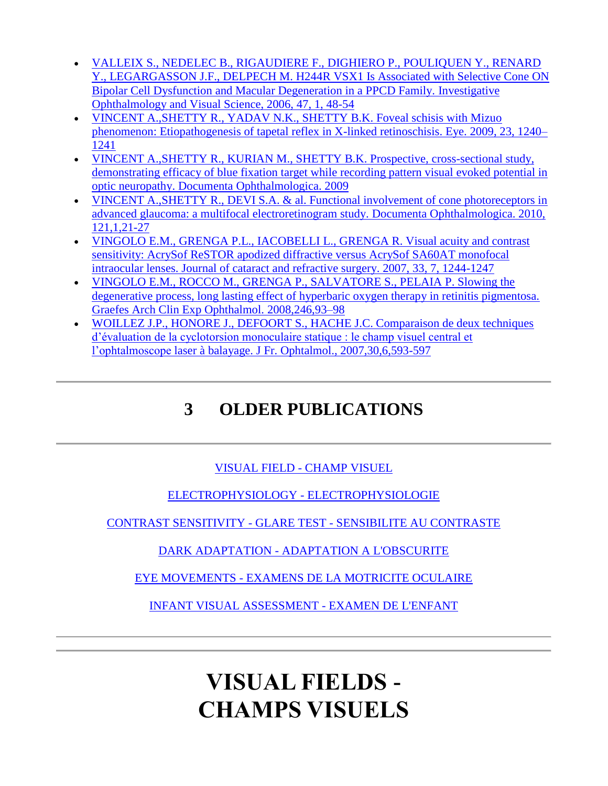- [VALLEIX S., NEDELEC B., RIGAUDIERE F., DIGHIERO P., POULIQUEN Y., RENARD](http://www.metrovision.fr/MFc25.html#MOTRICITE)  [Y., LEGARGASSON J.F., DELPECH M. H244R VSX1 Is Associated with Selective Cone ON](http://www.metrovision.fr/MFc25.html#MOTRICITE)  [Bipolar Cell Dysfunction and Macular Degeneration in a PPCD Family. Investigative](http://www.metrovision.fr/MFc25.html#MOTRICITE)  [Ophthalmology and Visual Science, 2006, 47, 1, 48-54](http://www.metrovision.fr/MFc25.html#MOTRICITE)
- [VINCENT A.,SHETTY R., YADAV N.K., SHETTY B.K. Foveal schisis with Mizuo](http://www.metrovision.fr/pdf/2009_vincent.pdf)  [phenomenon: Etiopathogenesis of tapetal reflex in X-linked retinoschisis. Eye. 2009, 23, 1240–](http://www.metrovision.fr/pdf/2009_vincent.pdf) [1241](http://www.metrovision.fr/pdf/2009_vincent.pdf)
- [VINCENT A.,SHETTY R., KURIAN M., SHETTY B.K. Prospective, cross-sectional study,](http://www.metrovision.fr/pdf/2009_vincent.pdf)  [demonstrating efficacy of blue fixation target while recording pattern visual evoked potential in](http://www.metrovision.fr/pdf/2009_vincent.pdf)  [optic neuropathy. Documenta Ophthalmologica. 2009](http://www.metrovision.fr/pdf/2009_vincent.pdf)
- [VINCENT A.,SHETTY R., DEVI S.A. & al. Functional involvement of cone photoreceptors in](http://www.metrovision.fr/pdf/2010_vincent.pdf)  [advanced glaucoma: a multifocal electroretinogram study. Documenta Ophthalmologica. 2010,](http://www.metrovision.fr/pdf/2010_vincent.pdf)  [121,1,21-27](http://www.metrovision.fr/pdf/2010_vincent.pdf)
- [VINGOLO E.M., GRENGA P.L., IACOBELLI L., GRENGA R. Visual acuity and contrast](http://www.metrovision.fr/pdf/2007_vingolo.pdf)  [sensitivity: AcrySof ReSTOR apodized diffractive versus AcrySof SA60AT monofocal](http://www.metrovision.fr/pdf/2007_vingolo.pdf)  [intraocular lenses. Journal of cataract and refractive surgery. 2007, 33, 7, 1244-1247](http://www.metrovision.fr/pdf/2007_vingolo.pdf)
- [VINGOLO E.M., ROCCO M., GRENGA P., SALVATORE S., PELAIA P. Slowing the](http://www.metrovision.fr/pdf/2008_vingolo.pdf)  [degenerative process, long lasting effect of hyperbaric oxygen therapy in retinitis pigmentosa.](http://www.metrovision.fr/pdf/2008_vingolo.pdf)  [Graefes Arch Clin Exp Ophthalmol. 2008,246,93–98](http://www.metrovision.fr/pdf/2008_vingolo.pdf)
- [WOILLEZ J.P., HONORE J., DEFOORT S., HACHE J.C. Comparaison de deux techniques](http://www.metrovision.fr/pdf/2007_woillez.pdf)  [d'évaluation de la cyclotorsion monoculaire statique : le champ visuel central et](http://www.metrovision.fr/pdf/2007_woillez.pdf)  [l'ophtalmoscope laser à balayage. J Fr. Ophtalmol., 2007,30,6,593-597](http://www.metrovision.fr/pdf/2007_woillez.pdf)

#### **3 OLDER PUBLICATIONS**

#### VISUAL FIELD - [CHAMP VISUEL](http://www.metrovision.fr/MFc25.html#CHAMPS)

[ELECTROPHYSIOLOGY -](http://www.metrovision.fr/MFc25.html#ELECTROPHYSIOLOGIE) ELECTROPHYSIOLOGIE

CONTRAST SENSITIVITY - GLARE TEST - [SENSIBILITE AU CONTRASTE](http://www.metrovision.fr/MFc25.html#SENSIBILITE)

DARK ADAPTATION - [ADAPTATION A L'OBSCURITE](http://www.metrovision.fr/MFc25.html#ADAPTATION)

EYE MOVEMENTS - [EXAMENS DE LA MOTRICITE OCULAIRE](http://www.metrovision.fr/MFc25.html#MOTRICITE)

[INFANT VISUAL ASSESSMENT -](http://www.metrovision.fr/MFc25.html#enfant_elec) EXAMEN DE L'ENFANT

# **VISUAL FIELDS - CHAMPS VISUELS**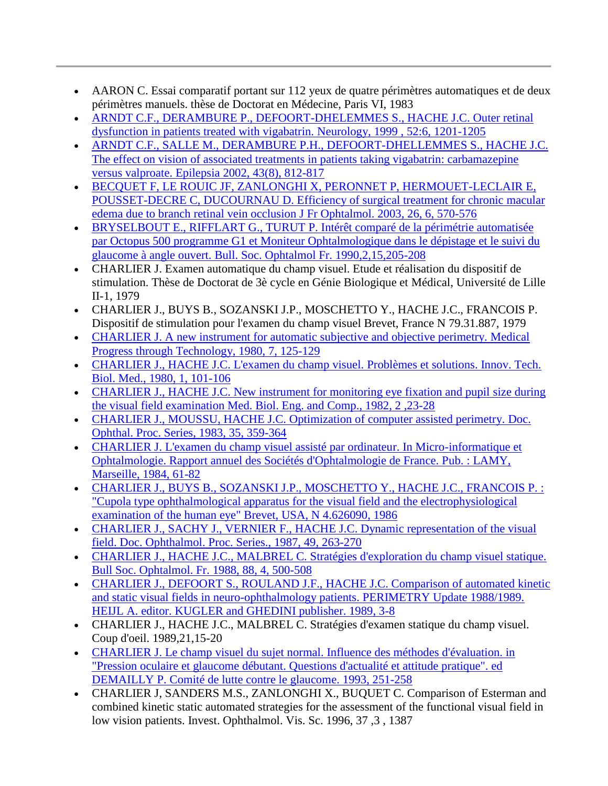- AARON C. Essai comparatif portant sur 112 yeux de quatre périmètres automatiques et de deux périmètres manuels. thèse de Doctorat en Médecine, Paris VI, 1983
- [ARNDT C.F., DERAMBURE P., DEFOORT-DHELEMMES S., HACHE J.C. Outer retinal](http://www.metrovision.fr/pdf/1999_arndt.pdf)  [dysfunction in patients treated with vigabatrin. Neurology, 1999 , 52:6, 1201-1205](http://www.metrovision.fr/pdf/1999_arndt.pdf)
- [ARNDT C.F., SALLE M., DERAMBURE P.H., DEFOORT-DHELLEMMES S., HACHE J.C.](http://www.metrovision.fr/pdf/2002_arndt.pdf)  [The effect on vision of associated treatments in patients taking vigabatrin: carbamazepine](http://www.metrovision.fr/pdf/2002_arndt.pdf)  [versus valproate. Epilepsia 2002, 43\(8\), 812-817](http://www.metrovision.fr/pdf/2002_arndt.pdf)
- [BECQUET F, LE ROUIC JF, ZANLONGHI X, PERONNET P, HERMOUET-LECLAIR E,](http://www.metrovision.fr/pdf/2003_becquet.pdf)  [POUSSET-DECRE C, DUCOURNAU D. Efficiency of surgical treatment for chronic macular](http://www.metrovision.fr/pdf/2003_becquet.pdf)  [edema due to branch retinal vein occlusion J Fr Ophtalmol. 2003, 26, 6, 570-576](http://www.metrovision.fr/pdf/2003_becquet.pdf)
- [BRYSELBOUT E., RIFFLART G., TURUT P. Intérêt comparé de la périmétrie automatisée](http://www.metrovision.fr/pdf/1990_bryselbout.pdf)  [par Octopus 500 programme G1 et Moniteur Ophtalmologique dans le dépistage et le suivi du](http://www.metrovision.fr/pdf/1990_bryselbout.pdf)  [glaucome à angle ouvert. Bull. Soc. Ophtalmol Fr. 1990,2,15,205-208](http://www.metrovision.fr/pdf/1990_bryselbout.pdf)
- CHARLIER J. Examen automatique du champ visuel. Etude et réalisation du dispositif de stimulation. Thèse de Doctorat de 3è cycle en Génie Biologique et Médical, Université de Lille II-1, 1979
- CHARLIER J., BUYS B., SOZANSKI J.P., MOSCHETTO Y., HACHE J.C., FRANCOIS P. Dispositif de stimulation pour l'examen du champ visuel Brevet, France N 79.31.887, 1979
- [CHARLIER J. A new instrument for automatic subjective and objective perimetry. Medical](http://www.metrovision.fr/pdf/1980_charlier.pdf)  [Progress through Technology, 1980, 7, 125-129](http://www.metrovision.fr/pdf/1980_charlier.pdf)
- [CHARLIER J., HACHE J.C. L'examen du champ visuel. Problèmes et solutions. Innov. Tech.](http://www.metrovision.fr/pdf/1980_charlier_B.pdf)  [Biol. Med., 1980, 1, 101-106](http://www.metrovision.fr/pdf/1980_charlier_B.pdf)
- [CHARLIER J., HACHE J.C. New instrument for monitoring eye fixation and pupil](http://www.metrovision.fr/pdf/1982_charlier.pdf) size during [the visual field examination Med. Biol. Eng. and Comp., 1982, 2 ,23-28](http://www.metrovision.fr/pdf/1982_charlier.pdf)
- [CHARLIER J., MOUSSU, HACHE J.C. Optimization of computer assisted perimetry. Doc.](http://www.metrovision.fr/pdf/1983_charlier.pdf)  [Ophthal. Proc. Series, 1983, 35, 359-364](http://www.metrovision.fr/pdf/1983_charlier.pdf)
- [CHARLIER J. L'examen du champ visuel assisté par ordinateur. In Micro-informatique et](http://www.metrovision.fr/pdf/1984_charlier.pdf)  [Ophtalmologie. Rapport annuel des Sociétés d'Ophtalmologie de France. Pub. : LAMY,](http://www.metrovision.fr/pdf/1984_charlier.pdf)  [Marseille, 1984, 61-82](http://www.metrovision.fr/pdf/1984_charlier.pdf)
- [CHARLIER J., BUYS B., SOZANSKI J.P., MOSCHETTO Y., HACHE J.C., FRANCOIS P. :](http://www.metrovision.fr/pdf/1986_charlier_B.pdf)  ["Cupola type ophthalmological apparatus for the visual field and the electrophysiological](http://www.metrovision.fr/pdf/1986_charlier_B.pdf)  [examination of the human eye" Brevet, USA, N 4.626090, 1986](http://www.metrovision.fr/pdf/1986_charlier_B.pdf)
- [CHARLIER J., SACHY J., VERNIER F., HACHE J.C. Dynamic representation of the visual](http://www.metrovision.fr/pdf/1987_charlier.pdf)  [field. Doc. Ophthalmol. Proc. Series., 1987, 49, 263-270](http://www.metrovision.fr/pdf/1987_charlier.pdf)
- [CHARLIER J., HACHE J.C., MALBREL C. Stratégies d'exploration du champ visuel statique.](http://www.metrovision.fr/pdf/1988_charlier.pdf)  [Bull Soc. Ophtalmol. Fr. 1988, 88, 4, 500-508](http://www.metrovision.fr/pdf/1988_charlier.pdf)
- [CHARLIER J., DEFOORT S., ROULAND J.F., HACHE J.C. Comparison of automated kinetic](http://www.metrovision.fr/pdf/1989_charlier.pdf)  [and static visual fields in neuro-ophthalmology patients. PERIMETRY Update 1988/1989.](http://www.metrovision.fr/pdf/1989_charlier.pdf)  [HEIJL A. editor. KUGLER and GHEDINI publisher. 1989, 3-8](http://www.metrovision.fr/pdf/1989_charlier.pdf)
- CHARLIER J., HACHE J.C., MALBREL C. Stratégies d'examen statique du champ visuel. Coup d'oeil. 1989,21,15-20
- [CHARLIER J. Le champ visuel du sujet normal. Influence des méthodes d'évaluation. in](http://www.metrovision.fr/pdf/1993_charlier.pdf)  ["Pression oculaire et glaucome débutant. Questions d'actualité et attitude pratique". ed](http://www.metrovision.fr/pdf/1993_charlier.pdf)  [DEMAILLY P. Comité de lutte contre le glaucome. 1993, 251-258](http://www.metrovision.fr/pdf/1993_charlier.pdf)
- CHARLIER J, SANDERS M.S., ZANLONGHI X., BUQUET C. Comparison of Esterman and combined kinetic static automated strategies for the assessment of the functional visual field in low vision patients. Invest. Ophthalmol. Vis. Sc. 1996, 37 ,3 , 1387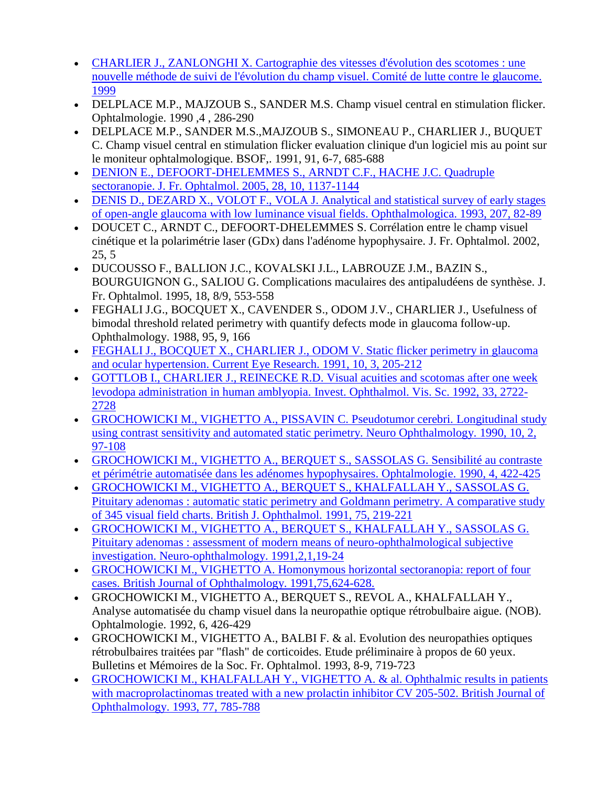- [CHARLIER J., ZANLONGHI X. Cartographie des vitesses d'évolution des scotomes : une](http://www.metrovision.fr/pdf/1999_charlier.pdf)  [nouvelle méthode de suivi de l'évolution du champ visuel. Comité de lutte contre le glaucome.](http://www.metrovision.fr/pdf/1999_charlier.pdf)  [1999](http://www.metrovision.fr/pdf/1999_charlier.pdf)
- DELPLACE M.P., MAJZOUB S., SANDER M.S. Champ visuel central en stimulation flicker. Ophtalmologie. 1990 ,4 , 286-290
- DELPLACE M.P., SANDER M.S.,MAJZOUB S., SIMONEAU P., CHARLIER J., BUQUET C. Champ visuel central en stimulation flicker evaluation clinique d'un logiciel mis au point sur le moniteur ophtalmologique. BSOF,. 1991, 91, 6-7, 685-688
- [DENION E., DEFOORT-DHELEMMES S., ARNDT C.F., HACHE J.C. Quadruple](http://www.metrovision.fr/pdf/2005_denion.pdf)  [sectoranopie. J. Fr. Ophtalmol. 2005, 28, 10, 1137-1144](http://www.metrovision.fr/pdf/2005_denion.pdf)
- DENIS D., DEZARD X., VOLOT F., VOLA J. Analytical and statistical survey of early stages [of open-angle glaucoma with low luminance visual fields. Ophthalmologica. 1993, 207, 82-89](http://www.metrovision.fr/pdf/1993_denis.pdf)
- DOUCET C., ARNDT C., DEFOORT-DHELEMMES S. Corrélation entre le champ visuel cinétique et la polarimétrie laser (GDx) dans l'adénome hypophysaire. J. Fr. Ophtalmol. 2002, 25, 5
- DUCOUSSO F., BALLION J.C., KOVALSKI J.L., LABROUZE J.M., BAZIN S., BOURGUIGNON G., SALIOU G. Complications maculaires des antipaludéens de synthèse. J. Fr. Ophtalmol. 1995, 18, 8/9, 553-558
- FEGHALI J.G., BOCQUET X., CAVENDER S., ODOM J.V., CHARLIER J., Usefulness of bimodal threshold related perimetry with quantify defects mode in glaucoma follow-up. Ophthalmology. 1988, 95, 9, 166
- [FEGHALI J., BOCQUET X., CHARLIER J., ODOM V. Static flicker perimetry in glaucoma](http://www.metrovision.fr/pdf/1991_feghali.pdf)  [and ocular hypertension. Current Eye Research. 1991, 10, 3, 205-212](http://www.metrovision.fr/pdf/1991_feghali.pdf)
- [GOTTLOB I., CHARLIER J., REINECKE R.D. Visual acuities and scotomas after one week](http://www.metrovision.fr/pdf/1992_gottlob.pdf)  [levodopa administration in human amblyopia. Invest. Ophthalmol. Vis. Sc. 1992, 33, 2722-](http://www.metrovision.fr/pdf/1992_gottlob.pdf) [2728](http://www.metrovision.fr/pdf/1992_gottlob.pdf)
- [GROCHOWICKI M., VIGHETTO A., PISSAVIN C. Pseudotumor cerebri. Longitudinal study](http://www.metrovision.fr/pdf/1990_grochowicki.pdf)  [using contrast sensitivity and automated static perimetry. Neuro Ophthalmology. 1990, 10, 2,](http://www.metrovision.fr/pdf/1990_grochowicki.pdf)  [97-108](http://www.metrovision.fr/pdf/1990_grochowicki.pdf)
- [GROCHOWICKI M., VIGHETTO A., BERQUET S., SASSOLAS G. Sensibilité au contraste](http://www.metrovision.fr/pdf/1990_grochowicki_B.pdf)  [et périmétrie automatisée dans les adénomes hypophysaires. Ophtalmologie. 1990, 4, 422-425](http://www.metrovision.fr/pdf/1990_grochowicki_B.pdf)
- [GROCHOWICKI M., VIGHETTO A., BERQUET S., KHALFALLAH Y., SASSOLAS G.](http://www.metrovision.fr/pdf/1991_grochowicki.pdf)  [Pituitary adenomas : automatic static perimetry and Goldmann perimetry. A comparative study](http://www.metrovision.fr/pdf/1991_grochowicki.pdf)  [of 345 visual field charts. British J. Ophthalmol. 1991, 75, 219-221](http://www.metrovision.fr/pdf/1991_grochowicki.pdf)
- [GROCHOWICKI M., VIGHETTO A., BERQUET S., KHALFALLAH Y., SASSOLAS G.](http://www.metrovision.fr/pdf/1991_grochowicki_B.pdf)  [Pituitary adenomas : assessment of modern means of neuro-ophthalmological subjective](http://www.metrovision.fr/pdf/1991_grochowicki_B.pdf)  [investigation. Neuro-ophthalmology. 1991,2,1,19-24](http://www.metrovision.fr/pdf/1991_grochowicki_B.pdf)
- [GROCHOWICKI M., VIGHETTO A. Homonymous horizontal sectoranopia: report of four](http://www.metrovision.fr/pdf/1991_grochowicki_C.pdf)  [cases. British Journal of Ophthalmology. 1991,75,624-628.](http://www.metrovision.fr/pdf/1991_grochowicki_C.pdf)
- GROCHOWICKI M., VIGHETTO A., BERQUET S., REVOL A., KHALFALLAH Y., Analyse automatisée du champ visuel dans la neuropathie optique rétrobulbaire aigue. (NOB). Ophtalmologie. 1992, 6, 426-429
- GROCHOWICKI M., VIGHETTO A., BALBI F. & al. Evolution des neuropathies optiques rétrobulbaires traitées par "flash" de corticoides. Etude préliminaire à propos de 60 yeux. Bulletins et Mémoires de la Soc. Fr. Ophtalmol. 1993, 8-9, 719-723
- [GROCHOWICKI M., KHALFALLAH Y., VIGHETTO A. & al. Ophthalmic results in patients](http://www.metrovision.fr/pdf/1993_grochowicki.pdf)  with macroprolactinomas treated with a new prolactin inhibitor CV 205-502. British Journal of [Ophthalmology. 1993, 77, 785-788](http://www.metrovision.fr/pdf/1993_grochowicki.pdf)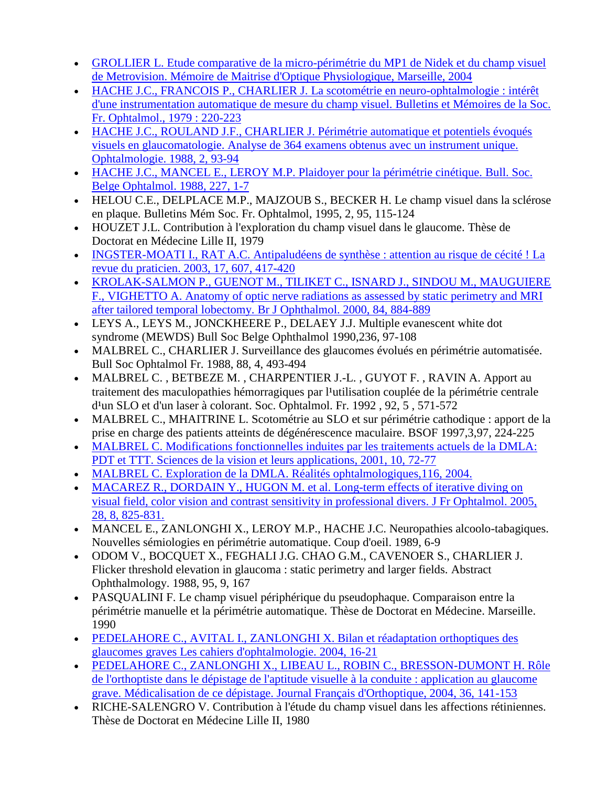- [GROLLIER L. Etude comparative de la micro-périmétrie du MP1 de Nidek et du champ visuel](http://www.metrovision.fr/pdf/2004_grollier.pdf)  [de Metrovision. Mémoire de Maitrise d'Optique Physiologique, Marseille, 2004](http://www.metrovision.fr/pdf/2004_grollier.pdf)
- [HACHE J.C., FRANCOIS P., CHARLIER J. La scotométrie en neuro-ophtalmologie : intérêt](http://www.metrovision.fr/pdf/1979_hache.pdf)  [d'une instrumentation automatique de mesure du champ visuel. Bulletins et Mémoires de la Soc.](http://www.metrovision.fr/pdf/1979_hache.pdf)  [Fr. Ophtalmol., 1979 : 220-223](http://www.metrovision.fr/pdf/1979_hache.pdf)
- [HACHE J.C., ROULAND J.F., CHARLIER J. Périmétrie automatique et potentiels évoqués](http://www.metrovision.fr/pdf/1988_hache_B.pdf)  [visuels en glaucomatologie. Analyse de 364 examens obtenus avec un instrument unique.](http://www.metrovision.fr/pdf/1988_hache_B.pdf)  [Ophtalmologie. 1988, 2, 93-94](http://www.metrovision.fr/pdf/1988_hache_B.pdf)
- [HACHE J.C., MANCEL E., LEROY M.P. Plaidoyer pour la périmétrie cinétique. Bull. Soc.](http://www.metrovision.fr/pdf/1988_hache.pdf)  [Belge Ophtalmol. 1988, 227, 1-7](http://www.metrovision.fr/pdf/1988_hache.pdf)
- HELOU C.E., DELPLACE M.P., MAJZOUB S., BECKER H. Le champ visuel dans la sclérose en plaque. Bulletins Mém Soc. Fr. Ophtalmol, 1995, 2, 95, 115-124
- HOUZET J.L. Contribution à l'exploration du champ visuel dans le glaucome. Thèse de Doctorat en Médecine Lille II, 1979
- [INGSTER-MOATI I., RAT A.C. Antipaludéens de synthèse : attention au risque de cécité ! La](http://www.metrovision.fr/pdf/2003_ingster_moati.pdf)  [revue du praticien. 2003, 17, 607, 417-420](http://www.metrovision.fr/pdf/2003_ingster_moati.pdf)
- [KROLAK-SALMON P., GUENOT M., TILIKET C., ISNARD J., SINDOU M., MAUGUIERE](http://www.metrovision.fr/pdf/2000_krolak.pdf)  [F., VIGHETTO A. Anatomy of optic nerve radiations as assessed by static perimetry and MRI](http://www.metrovision.fr/pdf/2000_krolak.pdf)  [after tailored temporal lobectomy. Br J Ophthalmol. 2000, 84, 884-889](http://www.metrovision.fr/pdf/2000_krolak.pdf)
- LEYS A., LEYS M., JONCKHEERE P., DELAEY J.J. Multiple evanescent white dot syndrome (MEWDS) Bull Soc Belge Ophthalmol 1990,236, 97-108
- MALBREL C., CHARLIER J. Surveillance des glaucomes évolués en périmétrie automatisée. Bull Soc Ophtalmol Fr. 1988, 88, 4, 493-494
- MALBREL C. , BETBEZE M. , CHARPENTIER J.-L. , GUYOT F. , RAVIN A. Apport au traitement des maculopathies hémorragiques par l'utilisation couplée de la périmétrie centrale d<sup>1</sup>un SLO et d'un laser à colorant. Soc. Ophtalmol. Fr. 1992, 92, 5, 571-572
- MALBREL C., MHAITRINE L. Scotométrie au SLO et sur périmétrie cathodique : apport de la prise en charge des patients atteints de dégénérescence maculaire. BSOF 1997,3,97, 224-225
- [MALBREL C. Modifications fonctionnelles induites par les traitements actuels de la DMLA:](http://www.metrovision.fr/pdf/2001_malbrel.pdf)  [PDT et TTT. Sciences de la vision et leurs applications, 2001, 10, 72-77](http://www.metrovision.fr/pdf/2001_malbrel.pdf)
- [MALBREL C. Exploration de la DMLA. Réalités ophtalmologiques,116, 2004.](http://www.metrovision.fr/pdf/2004_malbrel.pdf)
- MACAREZ R., DORDAIN Y., HUGON M. et al. Long-term effects of iterative diving on [visual field, color vision and contrast sensitivity in professional divers. J Fr Ophtalmol. 2005,](http://www.metrovision.fr/pdf/2005_macarez.pdf)  [28, 8, 825-831.](http://www.metrovision.fr/pdf/2005_macarez.pdf)
- MANCEL E., ZANLONGHI X., LEROY M.P., HACHE J.C. Neuropathies alcoolo-tabagiques. Nouvelles sémiologies en périmétrie automatique. Coup d'oeil. 1989, 6-9
- ODOM V., BOCQUET X., FEGHALI J.G. CHAO G.M., CAVENOER S., CHARLIER J. Flicker threshold elevation in glaucoma : static perimetry and larger fields. Abstract Ophthalmology. 1988, 95, 9, 167
- PASQUALINI F. Le champ visuel périphérique du pseudophaque. Comparaison entre la périmétrie manuelle et la périmétrie automatique. Thèse de Doctorat en Médecine. Marseille. 1990
- [PEDELAHORE C., AVITAL I., ZANLONGHI X. Bilan et réadaptation orthoptiques des](http://www.metrovision.fr/pdf/2004_pedelahore.pdf)  [glaucomes graves Les cahiers d'ophtalmologie. 2004, 16-21](http://www.metrovision.fr/pdf/2004_pedelahore.pdf)
- [PEDELAHORE C., ZANLONGHI X., LIBEAU L., ROBIN C., BRESSON-DUMONT H. Rôle](http://www.metrovision.fr/pdf/2004_pedelahore_B.pdf)  [de l'orthoptiste dans le dépistage de l'aptitude visuelle](http://www.metrovision.fr/pdf/2004_pedelahore_B.pdf) à la conduite : application au glaucome [grave. Médicalisation de ce dépistage. Journal Français d'Orthoptique, 2004, 36, 141-153](http://www.metrovision.fr/pdf/2004_pedelahore_B.pdf)
- RICHE-SALENGRO V. Contribution à l'étude du champ visuel dans les affections rétiniennes. Thèse de Doctorat en Médecine Lille II, 1980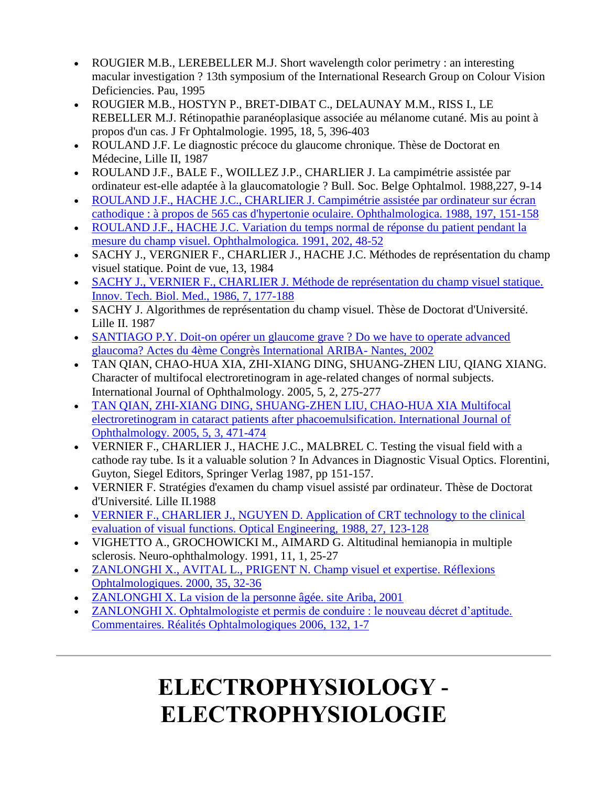- ROUGIER M.B., LEREBELLER M.J. Short wavelength color perimetry : an interesting macular investigation ? 13th symposium of the International Research Group on Colour Vision Deficiencies. Pau, 1995
- ROUGIER M.B., HOSTYN P., BRET-DIBAT C., DELAUNAY M.M., RISS I., LE REBELLER M.J. Rétinopathie paranéoplasique associée au mélanome cutané. Mis au point à propos d'un cas. J Fr Ophtalmologie. 1995, 18, 5, 396-403
- ROULAND J.F. Le diagnostic précoce du glaucome chronique. Thèse de Doctorat en Médecine, Lille II, 1987
- ROULAND J.F., BALE F., WOILLEZ J.P., CHARLIER J. La campimétrie assistée par ordinateur est-elle adaptée à la glaucomatologie ? Bull. Soc. Belge Ophtalmol. 1988,227, 9-14
- [ROULAND J.F., HACHE J.C., CHARLIER J. Campimétrie assistée par ordinateur sur écran](http://www.metrovision.fr/pdf/1988_rouland.pdf)  [cathodique : à propos de 565 cas d'hypertonie oculaire. Ophthalmologica. 1988, 197, 151-158](http://www.metrovision.fr/pdf/1988_rouland.pdf)
- [ROULAND J.F., HACHE J.C. Variation du temps normal de réponse du patient pendant la](http://www.metrovision.fr/pdf/1991_rouland.pdf)  [mesure du champ visuel. Ophthalmologica. 1991, 202, 48-52](http://www.metrovision.fr/pdf/1991_rouland.pdf)
- SACHY J., VERGNIER F., CHARLIER J., HACHE J.C. Méthodes de représentation du champ visuel statique. Point de vue, 13, 1984
- [SACHY J., VERNIER F., CHARLIER J. Méthode de représentation du champ visuel statique.](http://www.metrovision.fr/pdf/1986_sachy.pdf)  [Innov. Tech. Biol. Med., 1986, 7, 177-188](http://www.metrovision.fr/pdf/1986_sachy.pdf)
- SACHY J. Algorithmes de représentation du champ visuel. Thèse de Doctorat d'Université. Lille II. 1987
- [SANTIAGO P.Y. Doit-on opérer un glaucome grave ? Do we have to operate advanced](http://www.metrovision.fr/pdf/2002_santiago.pdf)  [glaucoma? Actes du 4ème Congrès International ARIBA-](http://www.metrovision.fr/pdf/2002_santiago.pdf) Nantes, 2002
- TAN QIAN, CHAO-HUA XIA, ZHI-XIANG DING, SHUANG-ZHEN LIU, QIANG XIANG. Character of multifocal electroretinogram in age-related changes of normal subjects. International Journal of Ophthalmology. 2005, 5, 2, 275-277
- [TAN QIAN, ZHI-XIANG DING, SHUANG-ZHEN LIU, CHAO-HUA XIA Multifocal](http://www.metrovision.fr/pdf/2005_tanqian.pdf)  [electroretinogram in cataract patients after phacoemulsification. International Journal of](http://www.metrovision.fr/pdf/2005_tanqian.pdf)  [Ophthalmology. 2005, 5, 3, 471-474](http://www.metrovision.fr/pdf/2005_tanqian.pdf)
- VERNIER F., CHARLIER J., HACHE J.C., MALBREL C. Testing the visual field with a cathode ray tube. Is it a valuable solution ? In Advances in Diagnostic Visual Optics. Florentini, Guyton, Siegel Editors, Springer Verlag 1987, pp 151-157.
- VERNIER F. Stratégies d'examen du champ visuel assisté par ordinateur. Thèse de Doctorat d'Université. Lille II.1988
- [VERNIER F., CHARLIER J., NGUYEN D. Application of CRT technology to the clinical](http://www.metrovision.fr/pdf/1988_vernier.pdf)  [evaluation of visual functions. Optical Engineering, 1988, 27, 123-128](http://www.metrovision.fr/pdf/1988_vernier.pdf)
- VIGHETTO A., GROCHOWICKI M., AIMARD G. Altitudinal hemianopia in multiple sclerosis. Neuro-ophthalmology. 1991, 11, 1, 25-27
- [ZANLONGHI X., AVITAL L., PRIGENT N. Champ visuel](http://www.metrovision.fr/pdf/2000_zanlonghi.pdf) et expertise. Réflexions [Ophtalmologiques. 2000, 35, 32-36](http://www.metrovision.fr/pdf/2000_zanlonghi.pdf)
- [ZANLONGHI X. La vision de la personne âgée. site Ariba, 2001](http://www.metrovision.fr/pdf/2001_zanlonghi_B.pdf)
- [ZANLONGHI X. Ophtalmologiste et permis de conduire : le nouveau décret d'aptitude.](http://www.metrovision.fr/pdf/2006_zanlonghi.pdf)  [Commentaires. Réalités Ophtalmologiques 2006, 132, 1-7](http://www.metrovision.fr/pdf/2006_zanlonghi.pdf)

# **ELECTROPHYSIOLOGY - ELECTROPHYSIOLOGIE**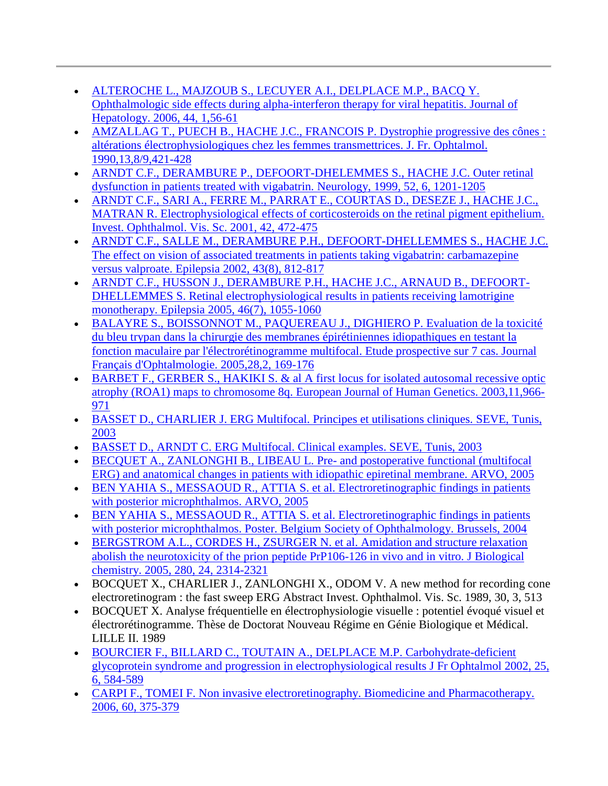- [ALTEROCHE L., MAJZOUB S., LECUYER A.I., DELPLACE M.P., BACQ Y.](http://www.metrovision.fr/pdf/2006_alteroche.pdf)  [Ophthalmologic side effects during alpha-interferon therapy for viral hepatitis. Journal of](http://www.metrovision.fr/pdf/2006_alteroche.pdf)  [Hepatology. 2006, 44, 1,56-61](http://www.metrovision.fr/pdf/2006_alteroche.pdf)
- [AMZALLAG T., PUECH B., HACHE J.C., FRANCOIS P. Dystrophie progressive des cônes :](http://www.metrovision.fr/pdf/1990_amzallag.pdf)  [altérations électrophysiologiques chez les femmes transmettrices. J. Fr. Ophtalmol.](http://www.metrovision.fr/pdf/1990_amzallag.pdf)  [1990,13,8/9,421-428](http://www.metrovision.fr/pdf/1990_amzallag.pdf)
- [ARNDT C.F., DERAMBURE P., DEFOORT-DHELEMMES S., HACHE J.C. Outer retinal](http://www.metrovision.fr/pdf/1999_arndt.pdf)  [dysfunction in patients treated with vigabatrin. Neurology, 1999, 52, 6, 1201-1205](http://www.metrovision.fr/pdf/1999_arndt.pdf)
- [ARNDT C.F., SARI A., FERRE M., PARRAT E., COURTAS D., DESEZE J., HACHE J.C.,](http://www.metrovision.fr/pdf/2001_arndt.pdf)  [MATRAN R. Electrophysiological effects of corticosteroids on the retinal pigment epithelium.](http://www.metrovision.fr/pdf/2001_arndt.pdf)  [Invest. Ophthalmol. Vis. Sc. 2001, 42, 472-475](http://www.metrovision.fr/pdf/2001_arndt.pdf)
- [ARNDT C.F., SALLE M., DERAMBURE P.H., DEFOORT-DHELLEMMES S., HACHE J.C.](http://www.metrovision.fr/pdf/2002_arndt.pdf)  [The effect on vision of associated treatments in patients taking vigabatrin: carbamazepine](http://www.metrovision.fr/pdf/2002_arndt.pdf)  [versus valproate. Epilepsia 2002, 43\(8\), 812-817](http://www.metrovision.fr/pdf/2002_arndt.pdf)
- [ARNDT C.F., HUSSON J., DERAMBURE P.H., HACHE J.C., ARNAUD B., DEFOORT-](http://www.metrovision.fr/pdf/2005_arndt.pdf)[DHELLEMMES S. Retinal electrophysiological results in patients receiving lamotrigine](http://www.metrovision.fr/pdf/2005_arndt.pdf)  [monotherapy. Epilepsia 2005, 46\(7\), 1055-1060](http://www.metrovision.fr/pdf/2005_arndt.pdf)
- [BALAYRE S., BOISSONNOT M., PAQUEREAU J., DIGHIERO P. Evaluation de la toxicité](http://www.metrovision.fr/pdf/2005_balayre.pdf)  [du bleu trypan dans la chirurgie des membranes épirétiniennes idiopathiques en testant la](http://www.metrovision.fr/pdf/2005_balayre.pdf)  [fonction maculaire par l'électrorétinogramme multifocal. Etude prospective sur 7 cas. Journal](http://www.metrovision.fr/pdf/2005_balayre.pdf)  [Français d'Ophtalmologie. 2005,28,2, 169-176](http://www.metrovision.fr/pdf/2005_balayre.pdf)
- [BARBET F., GERBER S., HAKIKI S. & al A first locus for isolated autosomal recessive optic](http://www.metrovision.fr/pdf/2003_barbet.pdf)  [atrophy \(ROA1\) maps to chromosome 8q. European Journal of Human Genetics. 2003,11,966-](http://www.metrovision.fr/pdf/2003_barbet.pdf) [971](http://www.metrovision.fr/pdf/2003_barbet.pdf)
- [BASSET D., CHARLIER J. ERG Multifocal. Principes et utilisations cliniques. SEVE, Tunis,](http://www.metrovision.fr/pdf/2003_basset.pdf)  [2003](http://www.metrovision.fr/pdf/2003_basset.pdf)
- [BASSET D., ARNDT C. ERG Multifocal. Clinical examples. SEVE, Tunis, 2003](http://www.metrovision.fr/pdf/2003_basset_B.pdf)
- [BECQUET A., ZANLONGHI B., LIBEAU L. Pre-](http://www.metrovision.fr/pdf/2005_becquet.pdf) and postoperative functional (multifocal [ERG\) and anatomical changes in patients with idiopathic epiretinal membrane. ARVO, 2005](http://www.metrovision.fr/pdf/2005_becquet.pdf)
- [BEN YAHIA S., MESSAOUD R., ATTIA S. et al. Electroretinographic findings in patients](http://www.metrovision.fr/pdf/2005_benyahia.pdf)  [with posterior microphthalmos. ARVO, 2005](http://www.metrovision.fr/pdf/2005_benyahia.pdf)
- [BEN YAHIA S., MESSAOUD R., ATTIA S. et al. Electroretinographic findings in patients](http://www.metrovision.fr/pdf/2004_benyahia.pdf)  [with posterior microphthalmos. Poster. Belgium Society of Ophthalmology. Brussels, 2004](http://www.metrovision.fr/pdf/2004_benyahia.pdf)
- [BERGSTROM A.L., CORDES H., ZSURGER N. et al. Amidation and structure relaxation](http://www.metrovision.fr/pdf/2005_bergstrom.pdf)  [abolish the neurotoxicity of the prion peptide PrP106-126 in vivo and in vitro. J Biological](http://www.metrovision.fr/pdf/2005_bergstrom.pdf)  [chemistry. 2005, 280, 24, 2314-2321](http://www.metrovision.fr/pdf/2005_bergstrom.pdf)
- BOCQUET X., CHARLIER J., ZANLONGHI X., ODOM V. A new method for recording cone electroretinogram : the fast sweep ERG Abstract Invest. Ophthalmol. Vis. Sc. 1989, 30, 3, 513
- BOCQUET X. Analyse fréquentielle en électrophysiologie visuelle : potentiel évoqué visuel et électrorétinogramme. Thèse de Doctorat Nouveau Régime en Génie Biologique et Médical. LILLE II. 1989
- BOURCIER F., BILLARD C., TOUTAIN [A., DELPLACE M.P. Carbohydrate-deficient](http://www.metrovision.fr/pdf/2002_bourcier.pdf)  [glycoprotein syndrome and progression in electrophysiological results J Fr Ophtalmol 2002, 25,](http://www.metrovision.fr/pdf/2002_bourcier.pdf)  [6, 584-589](http://www.metrovision.fr/pdf/2002_bourcier.pdf)
- [CARPI F., TOMEI F. Non invasive electroretinography. Biomedicine and Pharmacotherapy.](http://www.metrovision.fr/pdf/2006_carpi.pdf)  [2006, 60, 375-379](http://www.metrovision.fr/pdf/2006_carpi.pdf)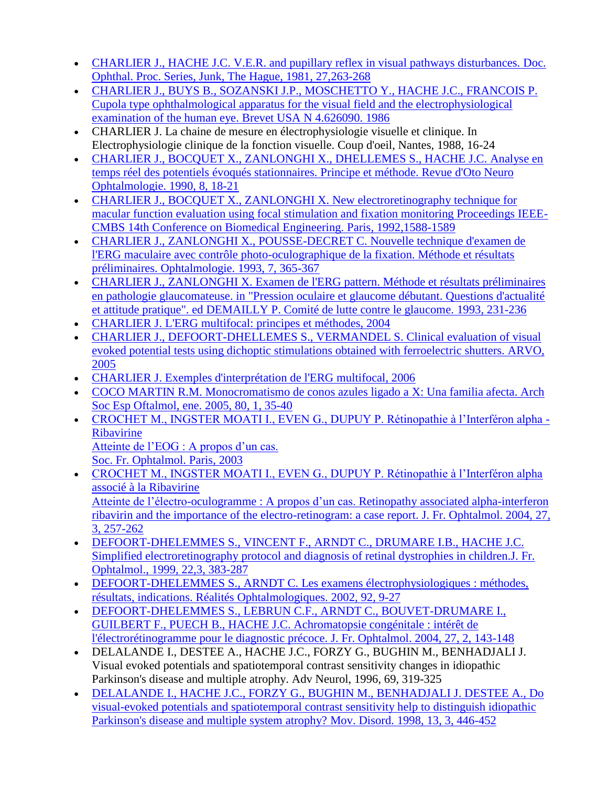- [CHARLIER J., HACHE J.C. V.E.R. and pupillary reflex in visual pathways disturbances. Doc.](http://www.metrovision.fr/pdf/1981_charlier.pdf)  [Ophthal. Proc. Series, Junk, The Hague, 1981, 27,263-268](http://www.metrovision.fr/pdf/1981_charlier.pdf)
- [CHARLIER J., BUYS B., SOZANSKI J.P., MOSCHETTO Y., HACHE J.C., FRANCOIS P.](http://www.metrovision.fr/pdf/1986_charlier.pdf)  [Cupola type ophthalmological apparatus for the visual field and the electrophysiological](http://www.metrovision.fr/pdf/1986_charlier.pdf)  [examination of the human eye. Brevet USA N 4.626090. 1986](http://www.metrovision.fr/pdf/1986_charlier.pdf)
- CHARLIER J. La chaine de mesure en électrophysiologie visuelle et clinique. In Electrophysiologie clinique de la fonction visuelle. Coup d'oeil, Nantes, 1988, 16-24
- [CHARLIER J., BOCQUET X., ZANLONGHI X., DHELLEMES S., HACHE J.C. Analyse en](http://www.metrovision.fr/pdf/1990_charlier.pdf)  [temps réel des potentiels évoqués stationnaires. Principe et méthode. Revue d'Oto Neuro](http://www.metrovision.fr/pdf/1990_charlier.pdf)  [Ophtalmologie. 1990, 8, 18-21](http://www.metrovision.fr/pdf/1990_charlier.pdf)
- CHARLIER J., BOCQUET X., ZANLONGHI X. New electroretinography technique for [macular function evaluation using focal stimulation and fixation monitoring Proceedings IEEE-](http://www.metrovision.fr/pdf/1992_charlier_B.pdf)CMBS 14th Conference [on Biomedical Engineering. Paris, 1992,1588-1589](http://www.metrovision.fr/pdf/1992_charlier_B.pdf)
- [CHARLIER J., ZANLONGHI X., POUSSE-DECRET C. Nouvelle technique d'examen de](http://www.metrovision.fr/pdf/1993_charlier_C.pdf)  [l'ERG maculaire avec contrôle photo-oculographique de la fixation. Méthode et résultats](http://www.metrovision.fr/pdf/1993_charlier_C.pdf)  [préliminaires. Ophtalmologie. 1993, 7, 365-367](http://www.metrovision.fr/pdf/1993_charlier_C.pdf)
- [CHARLIER J., ZANLONGHI X. Examen de l'ERG pattern. Méthode et résultats préliminaires](http://www.metrovision.fr/pdf/1993_charlier_D.pdf)  [en pathologie glaucomateuse. in "Pression oculaire et glaucome débutant. Questions d'actualité](http://www.metrovision.fr/pdf/1993_charlier_D.pdf)  [et attitude pratique". ed DEMAILLY P. Comité de lutte contre le glaucome. 1993, 231-236](http://www.metrovision.fr/pdf/1993_charlier_D.pdf)
- [CHARLIER J. L'ERG multifocal: principes et méthodes, 2004](http://www.metrovision.fr/pdf/2004_charlier.pdf)
- [CHARLIER J., DEFOORT-DHELLEMES S., VERMANDEL S. Clinical evaluation of visual](http://www.metrovision.fr/pdf/2005_charlier.pdf)  [evoked potential tests using dichoptic stimulations obtained with ferroelectric shutters. ARVO,](http://www.metrovision.fr/pdf/2005_charlier.pdf)  [2005](http://www.metrovision.fr/pdf/2005_charlier.pdf)
- [CHARLIER J. Exemples d'interprétation de l'ERG multifocal, 2006](http://www.metrovision.fr/pdf/2006_charlier.pdf)
- [COCO MARTIN R.M. Monocromatismo de conos azules ligado a](http://www.metrovision.fr/pdf/2005_coco_martin.pdf) X: Una familia afecta. Arch [Soc Esp Oftalmol, ene. 2005, 80, 1, 35-40](http://www.metrovision.fr/pdf/2005_coco_martin.pdf)
- [CROCHET M., INGSTER MOATI I., EVEN G., DUPUY P. Rétinopathie à l'Interféron alpha -](http://www.metrovision.fr/pdf/2003_crochet.pdf) [Ribavirine](http://www.metrovision.fr/pdf/2003_crochet.pdf)

[Atteinte de l'EOG : A propos d'un cas.](http://www.metrovision.fr/pdf/2003_crochet.pdf)  [Soc. Fr. Ophtalmol. Paris, 2003](http://www.metrovision.fr/pdf/2003_crochet.pdf)

- [CROCHET M., INGSTER MOATI I., EVEN G., DUPUY P. Rétinopathie à l'Interféron alpha](http://www.metrovision.fr/pdf/2004_crochet.pdf)  [associé à la Ribavirine](http://www.metrovision.fr/pdf/2004_crochet.pdf) [Atteinte de l'électro-oculogramme : A propos d'un cas. Retinopathy associated alpha-interferon](http://www.metrovision.fr/pdf/2004_crochet.pdf)  [ribavirin and the importance of the electro-retinogram: a case report. J. Fr. Ophtalmol. 2004, 27,](http://www.metrovision.fr/pdf/2004_crochet.pdf)  [3, 257-262](http://www.metrovision.fr/pdf/2004_crochet.pdf)
- [DEFOORT-DHELEMMES S., VINCENT F., ARNDT C., DRUMARE I.B., HACHE J.C.](http://www.metrovision.fr/pdf/1999_defoort.pdf)  Simplified electroretinography protocol and diagnosis of retinal dystrophies in children.J. Fr. [Ophtalmol., 1999, 22,3, 383-287](http://www.metrovision.fr/pdf/1999_defoort.pdf)
- [DEFOORT-DHELEMMES S., ARNDT C. Les examens électrophysiologiques : méthodes,](http://www.metrovision.fr/pdf/2002_defoort.pdf)  [résultats, indications. Réalités Ophtalmologiques. 2002, 92, 9-27](http://www.metrovision.fr/pdf/2002_defoort.pdf)
- [DEFOORT-DHELEMMES S., LEBRUN C.F., ARNDT C., BOUVET-DRUMARE I.,](http://www.metrovision.fr/pdf/2004_defoort.pdf)  [GUILBERT F., PUECH B., HACHE J.C. Achromatopsie congénitale : intérêt de](http://www.metrovision.fr/pdf/2004_defoort.pdf)  [l'électrorétinogramme pour le diagnostic précoce. J. Fr. Ophtalmol. 2004, 27, 2, 143-148](http://www.metrovision.fr/pdf/2004_defoort.pdf)
- DELALANDE I., DESTEE A., HACHE J.C., FORZY G., BUGHIN M., BENHADJALI J. Visual evoked potentials and spatiotemporal contrast sensitivity changes in idiopathic Parkinson's disease and multiple atrophy. Adv Neurol, 1996, 69, 319-325
- [DELALANDE I., HACHE J.C., FORZY G., BUGHIN M., BENHADJALI J. DESTEE A., Do](http://www.metrovision.fr/pdf/1998_delalande.pdf)  [visual-evoked potentials and spatiotemporal contrast sensitivity help to distinguish idiopathic](http://www.metrovision.fr/pdf/1998_delalande.pdf)  [Parkinson's disease and multiple system atrophy? Mov. Disord. 1998, 13, 3, 446-452](http://www.metrovision.fr/pdf/1998_delalande.pdf)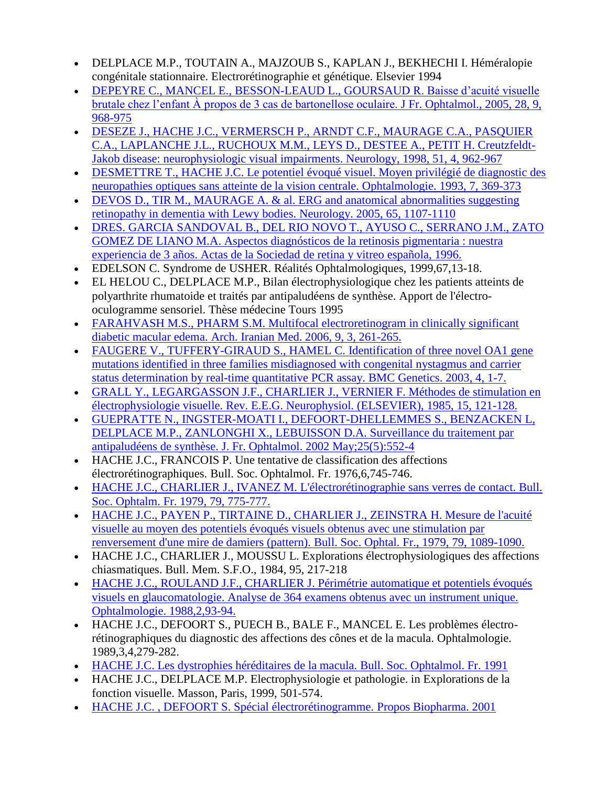- DELPLACE M.P., TOUTAIN A., MAJZOUB S., KAPLAN J., BEKHECHI I. Héméralopie congénitale stationnaire. Electrorétinographie et génétique. Elsevier 1994
- [DEPEYRE C., MANCEL E., BESSON-LEAUD L., GOURSAUD R. Baisse d'acuité visuelle](http://www.metrovision.fr/pdf/2005-depeyre.pdf)  [brutale chez l'enfant À propos de 3 cas de bartonellose oculaire. J Fr. Ophtalmol., 2005, 28, 9,](http://www.metrovision.fr/pdf/2005-depeyre.pdf)  [968-975](http://www.metrovision.fr/pdf/2005-depeyre.pdf)
- [DESEZE J., HACHE J.C., VERMERSCH P., ARNDT C.F., MAURAGE C.A., PASQUIER](http://www.metrovision.fr/pdf/1998_deseze.pdf)  [C.A., LAPLANCHE J.L., RUCHOUX M.M., LEYS D., DESTEE A., PETIT H. Creutzfeldt-](http://www.metrovision.fr/pdf/1998_deseze.pdf)[Jakob disease: neurophysiologic visual impairments. Neurology, 1998, 51, 4, 962-967](http://www.metrovision.fr/pdf/1998_deseze.pdf)
- [DESMETTRE T., HACHE J.C. Le potentiel évoqué visuel. Moyen privilégié de diagnostic des](http://www.metrovision.fr/pdf/1993_desmettre.pdf)  [neuropathies optiques sans atteinte de la vision centrale. Ophtalmologie. 1993, 7, 369-373](http://www.metrovision.fr/pdf/1993_desmettre.pdf)
- [DEVOS D., TIR M., MAURAGE A. & al. ERG and anatomical abnormalities suggesting](http://www.metrovision.fr/pdf/2005_devos.pdf)  [retinopathy in dementia with Lewy bodies. Neurology. 2005, 65, 1107-1110](http://www.metrovision.fr/pdf/2005_devos.pdf)
- [DRES. GARCIA SANDOVAL B., DEL RIO NOVO T., AYUSO C., SERRANO J.M., ZATO](http://www.metrovision.fr/pdf/1996_garcia.pdf)  [GOMEZ DE LIANO M.A. Aspectos diagnósticos de la retinosis pigmentaria : nuestra](http://www.metrovision.fr/pdf/1996_garcia.pdf)  [experiencia de 3 años. Actas de la Sociedad de retina y vitreo española, 1996.](http://www.metrovision.fr/pdf/1996_garcia.pdf)
- EDELSON C. Syndrome de USHER. Réalités Ophtalmologiques, 1999,67,13-18.
- EL HELOU C., DELPLACE M.P., Bilan électrophysiologique chez les patients atteints de polyarthrite rhumatoide et traités par antipaludéens de synthèse. Apport de l'électrooculogramme sensoriel. Thèse médecine Tours 1995
- [FARAHVASH M.S., PHARM S.M. Multifocal electroretinogram in clinically significant](http://www.metrovision.fr/pdf/2006_farahvash.pdf)  [diabetic macular edema. Arch. Iranian Med. 2006, 9, 3, 261-265.](http://www.metrovision.fr/pdf/2006_farahvash.pdf)
- FAUGERE V., TUFFERY-GIRAUD S., HAMEL C. Identification of three novel OA1 gene [mutations identified in three families misdiagnosed with congenital nystagmus and carrier](http://www.metrovision.fr/pdf/2003_faugere.pdf)  [status determination by real-time quantitative PCR assay. BMC Genetics. 2003, 4, 1-7.](http://www.metrovision.fr/pdf/2003_faugere.pdf)
- [GRALL Y., LEGARGASSON J.F., CHARLIER J., VERNIER F. Méthodes de stimulation en](http://www.metrovision.fr/pdf/1985_grall.pdf)  [électrophysiologie visuelle. Rev. E.E.G. Neurophysiol. \(ELSEVIER\), 1985, 15, 121-128.](http://www.metrovision.fr/pdf/1985_grall.pdf)
- [GUEPRATTE N., INGSTER-MOATI I., DEFOORT-DHELLEMMES S., BENZACKEN L,](http://www.metrovision.fr/pdf/2002_guepratte.pdf)  [DELPLACE M.P., ZANLONGHI X., LEBUISSON D.A. Surveillance du traitement par](http://www.metrovision.fr/pdf/2002_guepratte.pdf)  [antipaludéens de synthèse. J. Fr. Ophtalmol. 2002 May;25\(5\):552-4](http://www.metrovision.fr/pdf/2002_guepratte.pdf)
- HACHE J.C., FRANCOIS P. Une tentative de classification des affections électrorétinographiques. Bull. Soc. Ophtalmol. Fr. 1976,6,745-746.
- [HACHE J.C., CHARLIER J., IVANEZ M. L'électrorétinographie sans verres de contact. Bull.](http://www.metrovision.fr/pdf/1979_hache.pdf)  [Soc. Ophtalm. Fr. 1979, 79, 775-777.](http://www.metrovision.fr/pdf/1979_hache.pdf)
- [HACHE J.C., PAYEN P., TIRTAINE D., CHARLIER J., ZEINSTRA H. Mesure de l'acuité](http://www.metrovision.fr/pdf/1979_hache_B.pdf)  [visuelle au moyen des potentiels évoqués visuels obtenus avec une stimulation par](http://www.metrovision.fr/pdf/1979_hache_B.pdf)  [renversement d'une mire de damiers \(pattern\). Bull. Soc. Ophtal. Fr., 1979, 79, 1089-1090.](http://www.metrovision.fr/pdf/1979_hache_B.pdf)
- HACHE J.C., CHARLIER J., MOUSSU L. Explorations électrophysiologiques des affections chiasmatiques. Bull. Mem. S.F.O., 1984, 95, 217-218
- [HACHE J.C., ROULAND J.F., CHARLIER J. Périmétrie automatique et potentiels évoqués](http://www.metrovision.fr/pdf/1988_hache_B.pdf)  [visuels en glaucomatologie. Analyse de 364 examens obtenus avec un instrument unique.](http://www.metrovision.fr/pdf/1988_hache_B.pdf)  [Ophtalmologie. 1988,2,93-94.](http://www.metrovision.fr/pdf/1988_hache_B.pdf)
- HACHE J.C., DEFOORT S., PUECH B., BALE F., MANCEL E. Les problèmes électrorétinographiques du diagnostic des affections des cônes et de la macula. Ophtalmologie. 1989,3,4,279-282.
- [HACHE J.C. Les dystrophies héréditaires de la macula. Bull. Soc. Ophtalmol. Fr. 1991](http://www.metrovision.fr/pdf/1991_hache.pdf)
- HACHE J.C., DELPLACE M.P. Electrophysiologie et pathologie. in Explorations de la fonction visuelle. Masson, Paris, 1999, 501-574.
- [HACHE J.C. , DEFOORT S. Spécial électrorétinogramme. Propos Biopharma. 2001](http://www.metrovision.fr/pdf/2001_hache.pdf)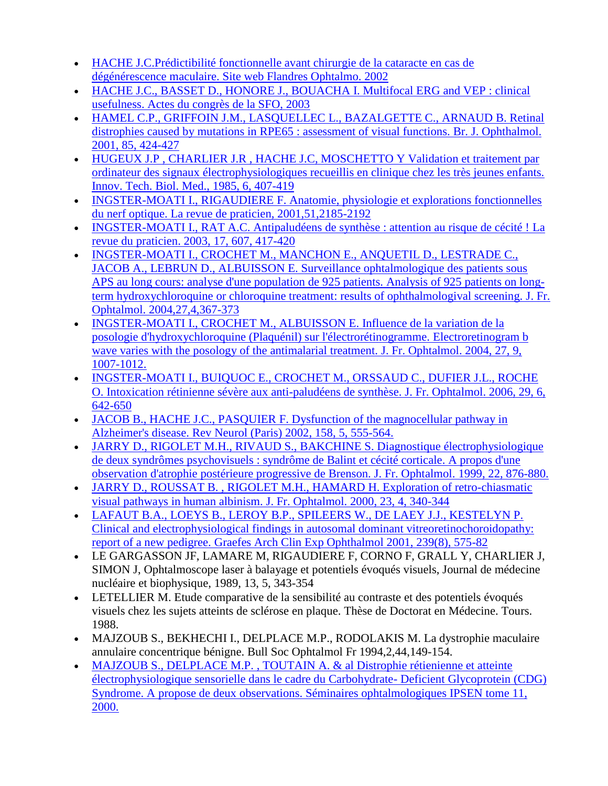- [HACHE J.C.Prédictibilité fonctionnelle avant chirurgie de la cataracte en cas de](http://www.metrovision.fr/pdf/2002_hache.pdf)  [dégénérescence maculaire. Site web Flandres Ophtalmo. 2002](http://www.metrovision.fr/pdf/2002_hache.pdf)
- [HACHE J.C., BASSET D., HONORE J., BOUACHA I. Multifocal ERG and VEP : clinical](http://www.metrovision.fr/pdf/2003_hache.pdf)  [usefulness. Actes du congrès de la SFO, 2003](http://www.metrovision.fr/pdf/2003_hache.pdf)
- [HAMEL C.P., GRIFFOIN J.M., LASQUELLEC L., BAZALGETTE C., ARNAUD B. Retinal](http://www.metrovision.fr/pdf/2001_hamel.pdf)  [distrophies caused by mutations in RPE65 : assessment of visual functions. Br. J. Ophthalmol.](http://www.metrovision.fr/pdf/2001_hamel.pdf)  [2001, 85, 424-427](http://www.metrovision.fr/pdf/2001_hamel.pdf)
- [HUGEUX J.P , CHARLIER J.R , HACHE J.C, MOSCHETTO Y Validation et traitement par](http://www.metrovision.fr/pdf/1985_hugeux.pdf)  [ordinateur des signaux électrophysiologiques recueillis en clinique chez les très jeunes enfants.](http://www.metrovision.fr/pdf/1985_hugeux.pdf)  Innov. Tech. Biol. [Med., 1985, 6, 407-419](http://www.metrovision.fr/pdf/1985_hugeux.pdf)
- [INGSTER-MOATI I., RIGAUDIERE F. Anatomie, physiologie et explorations fonctionnelles](http://www.metrovision.fr/pdf/2001_ingster_moati.pdf)  [du nerf optique. La revue de praticien, 2001,51,2185-2192](http://www.metrovision.fr/pdf/2001_ingster_moati.pdf)
- [INGSTER-MOATI I., RAT A.C. Antipaludéens de synthèse : attention au risque de cécité ! La](http://www.metrovision.fr/pdf/2003_ingster_moati.pdf)  [revue du praticien. 2003, 17, 607, 417-420](http://www.metrovision.fr/pdf/2003_ingster_moati.pdf)
- [INGSTER-MOATI I., CROCHET M., MANCHON E., ANQUETIL D., LESTRADE C.,](http://www.metrovision.fr/pdf/2004_ingster_moati.pdf)  [JACOB A., LEBRUN D., ALBUISSON E. Surveillance ophtalmologique des patients sous](http://www.metrovision.fr/pdf/2004_ingster_moati.pdf)  [APS au long cours: analyse d'une population de 925 patients. Analysis of 925 patients on long](http://www.metrovision.fr/pdf/2004_ingster_moati.pdf)[term hydroxychloroquine or chloroquine treatment: results of ophthalmologival screening. J. Fr.](http://www.metrovision.fr/pdf/2004_ingster_moati.pdf)  [Ophtalmol. 2004,27,4,367-373](http://www.metrovision.fr/pdf/2004_ingster_moati.pdf)
- [INGSTER-MOATI I., CROCHET M., ALBUISSON E. Influence de la variation de la](http://www.metrovision.fr/pdf/2004_ingster_moati_B.pdf)  [posologie d'hydroxychloroquine \(Plaquénil\) sur l'électrorétinogramme. Electroretinogram b](http://www.metrovision.fr/pdf/2004_ingster_moati_B.pdf)  [wave varies with the posology of the antimalarial treatment. J. Fr. Ophtalmol. 2004, 27, 9,](http://www.metrovision.fr/pdf/2004_ingster_moati_B.pdf)  [1007-1012.](http://www.metrovision.fr/pdf/2004_ingster_moati_B.pdf)
- [INGSTER-MOATI I., BUIQUOC E., CROCHET M., ORSSAUD C., DUFIER J.L., ROCHE](http://www.metrovision.fr/pdf/2006_ingster_moati.pdf)  [O. Intoxication rétinienne sévère aux anti-paludéens de synthèse. J. Fr. Ophtalmol. 2006, 29, 6,](http://www.metrovision.fr/pdf/2006_ingster_moati.pdf)  [642-650](http://www.metrovision.fr/pdf/2006_ingster_moati.pdf)
- [JACOB B., HACHE J.C., PASQUIER F. Dysfunction of the magnocellular pathway in](http://www.metrovision.fr/pdf/2002_jacob.pdf)  [Alzheimer's disease. Rev Neurol \(Paris\) 2002, 158, 5, 555-564.](http://www.metrovision.fr/pdf/2002_jacob.pdf)
- [JARRY D., RIGOLET M.H., RIVAUD S., BAKCHINE S. Diagnostique électrophysiologique](http://www.metrovision.fr/pdf/1999_jarry.pdf)  [de deux syndrômes psychovisuels : syndrôme de Balint et cécité corticale. A propos d'une](http://www.metrovision.fr/pdf/1999_jarry.pdf)  [observation d'atrophie postérieure progressive de Brenson. J. Fr. Ophtalmol. 1999, 22, 876-880.](http://www.metrovision.fr/pdf/1999_jarry.pdf)
- [JARRY D., ROUSSAT B. , RIGOLET M.H., HAMARD H. Exploration of retro-chiasmatic](http://www.metrovision.fr/pdf/2000_jarry.pdf)  [visual pathways in human albinism. J. Fr. Ophtalmol. 2000, 23, 4, 340-344](http://www.metrovision.fr/pdf/2000_jarry.pdf)
- [LAFAUT B.A., LOEYS B., LEROY B.P., SPILEERS W., DE LAEY J.J., KESTELYN P.](http://www.metrovision.fr/pdf/2001_lafaut.pdf)  [Clinical and electrophysiological findings in autosomal dominant vitreoretinochoroidopathy:](http://www.metrovision.fr/pdf/2001_lafaut.pdf)  [report of a new pedigree. Graefes Arch Clin Exp Ophthalmol 2001, 239\(8\), 575-82](http://www.metrovision.fr/pdf/2001_lafaut.pdf)
- LE GARGASSON JF, LAMARE M, RIGAUDIERE F, CORNO F, GRALL Y, CHARLIER J, SIMON J, Ophtalmoscope laser à balayage et potentiels évoqués visuels, Journal de médecine nucléaire et biophysique, 1989, 13, 5, 343-354
- LETELLIER M. Etude comparative de la sensibilité au contraste et des potentiels évoqués visuels chez les sujets atteints de sclérose en plaque. Thèse de Doctorat en Médecine. Tours. 1988.
- MAJZOUB S., BEKHECHI I., DELPLACE M.P., RODOLAKIS M. La dystrophie maculaire annulaire concentrique bénigne. Bull Soc Ophtalmol Fr 1994,2,44,149-154.
- [MAJZOUB S., DELPLACE M.P. , TOUTAIN A. & al Distrophie rétienienne et atteinte](http://www.metrovision.fr/pdf/2000_majzoub.pdf)  [électrophysiologique sensorielle dans le cadre du Carbohydrate-](http://www.metrovision.fr/pdf/2000_majzoub.pdf) Deficient Glycoprotein (CDG) [Syndrome. A propose de deux observations. Séminaires ophtalmologiques IPSEN tome 11,](http://www.metrovision.fr/pdf/2000_majzoub.pdf)  [2000.](http://www.metrovision.fr/pdf/2000_majzoub.pdf)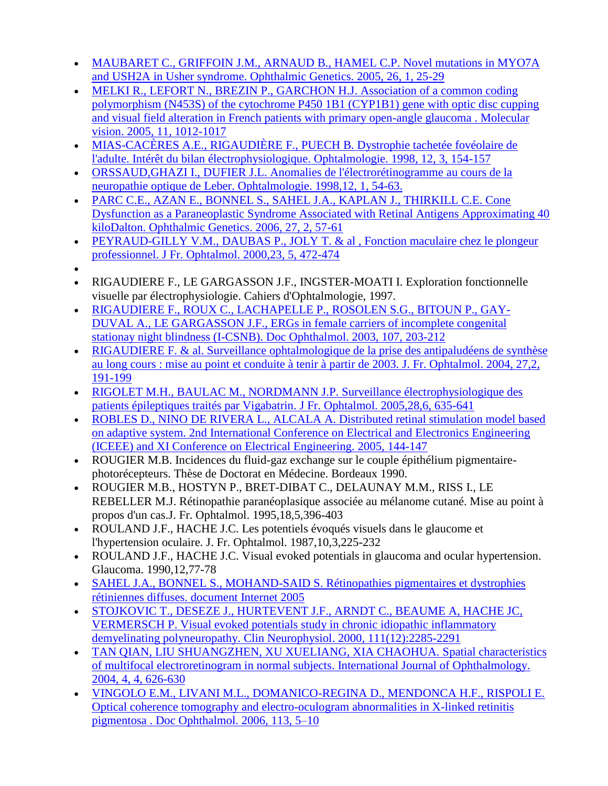- [MAUBARET C., GRIFFOIN J.M., ARNAUD B., HAMEL C.P. Novel mutations in MYO7A](http://www.metrovision.fr/pdf/2005_maubaret.pdf)  and USH2A in Usher [syndrome. Ophthalmic Genetics. 2005, 26, 1, 25-29](http://www.metrovision.fr/pdf/2005_maubaret.pdf)
- MELKI R., LEFORT N., BREZIN P., GARCHON H.J. Association of a common coding [polymorphism \(N453S\) of the cytochrome P450 1B1 \(CYP1B1\) gene with optic disc cupping](http://www.metrovision.fr/pdf/2005_melki.pdf)  [and visual field alteration in French patients with primary open-angle glaucoma . Molecular](http://www.metrovision.fr/pdf/2005_melki.pdf)  [vision. 2005, 11, 1012-1017](http://www.metrovision.fr/pdf/2005_melki.pdf)
- [MIAS-CACÈRES A.E., RIGAUDIÈRE F., PUECH B. Dystrophie tachetée fovéolaire de](http://www.metrovision.fr/pdf/1998_mias.pdf)  [l'adulte. Intérêt du bilan électrophysiologique. Ophtalmologie. 1998, 12, 3, 154-157](http://www.metrovision.fr/pdf/1998_mias.pdf)
- [ORSSAUD,GHAZI I., DUFIER J.L. Anomalies de l'électrorétinogramme au cours de la](http://www.metrovision.fr/pdf/1998_orssaud.pdf)  [neuropathie optique de Leber. Ophtalmologie. 1998,12, 1, 54-63.](http://www.metrovision.fr/pdf/1998_orssaud.pdf)
- **PARC C.E., AZAN E., BONNEL S., SAHEL J.A., KAPLAN J., THIRKILL C.E. Cone** [Dysfunction as a Paraneoplastic Syndrome Associated with Retinal Antigens Approximating 40](http://www.metrovision.fr/pdf/2006_parc.pdf)  [kiloDalton. Ophthalmic Genetics. 2006, 27, 2, 57-61](http://www.metrovision.fr/pdf/2006_parc.pdf)
- [PEYRAUD-GILLY V.M., DAUBAS P., JOLY T. & al , Fonction maculaire chez le plongeur](http://www.metrovision.fr/pdf/2000_peyraud-gilly.pdf)  [professionnel. J Fr. Ophtalmol. 2000,23, 5, 472-474](http://www.metrovision.fr/pdf/2000_peyraud-gilly.pdf)
- $\bullet$
- RIGAUDIERE F., LE GARGASSON J.F., INGSTER-MOATI I. Exploration fonctionnelle visuelle par électrophysiologie. Cahiers d'Ophtalmologie, 1997.
- [RIGAUDIERE F., ROUX C., LACHAPELLE P., ROSOLEN S.G., BITOUN P., GAY-](http://www.metrovision.fr/pdf/2003_rigaudiere.pdf)[DUVAL A., LE GARGASSON J.F., ERGs in female carriers of incomplete congenital](http://www.metrovision.fr/pdf/2003_rigaudiere.pdf)  [stationay night blindness \(I-CSNB\). Doc Ophthalmol. 2003, 107, 203-212](http://www.metrovision.fr/pdf/2003_rigaudiere.pdf)
- RIGAUDIERE F. & [al. Surveillance ophtalmologique de la prise des antipaludéens de synthèse](http://www.metrovision.fr/pdf/2004_rigaudiere.pdf)  [au long cours : mise au point et conduite à tenir à partir de 2003. J. Fr. Ophtalmol. 2004, 27,2,](http://www.metrovision.fr/pdf/2004_rigaudiere.pdf)  [191-199](http://www.metrovision.fr/pdf/2004_rigaudiere.pdf)
- [RIGOLET M.H., BAULAC M., NORDMANN J.P. Surveillance électrophysiologique des](http://www.metrovision.fr/pdf/2005_rigolet.pdf)  [patients épileptiques traités par Vigabatrin. J Fr. Ophtalmol. 2005,28,6, 635-641](http://www.metrovision.fr/pdf/2005_rigolet.pdf)
- [ROBLES D., NINO DE RIVERA L., ALCALA A. Distributed retinal stimulation model based](http://www.metrovision.fr/pdf/2005_robles.pdf)  [on adaptive system. 2nd International Conference on Electrical and Electronics Engineering](http://www.metrovision.fr/pdf/2005_robles.pdf)  [\(ICEEE\) and XI Conference on Electrical Engineering. 2005, 144-147](http://www.metrovision.fr/pdf/2005_robles.pdf)
- ROUGIER M.B. Incidences du fluid-gaz exchange sur le couple épithélium pigmentairephotorécepteurs. Thèse de Doctorat en Médecine. Bordeaux 1990.
- ROUGIER M.B., HOSTYN P., BRET-DIBAT C., DELAUNAY M.M., RISS I., LE REBELLER M.J. Rétinopathie paranéoplasique associée au mélanome cutané. Mise au point à propos d'un cas.J. Fr. Ophtalmol. 1995,18,5,396-403
- ROULAND J.F., HACHE J.C. Les potentiels évoqués visuels dans le glaucome et l'hypertension oculaire. J. Fr. Ophtalmol. 1987,10,3,225-232
- ROULAND J.F., HACHE J.C. Visual evoked potentials in glaucoma and ocular hypertension. Glaucoma. 1990,12,77-78
- [SAHEL J.A., BONNEL S., MOHAND-SAID S. Rétinopathies pigmentaires et dystrophies](http://www.metrovision.fr/pdf/2005_sahel.pdf)  [rétiniennes diffuses. document Internet 2005](http://www.metrovision.fr/pdf/2005_sahel.pdf)
- [STOJKOVIC T., DESEZE J., HURTEVENT J.F., ARNDT C., BEAUME A, HACHE JC,](http://www.metrovision.fr/pdf/2000_stojkovic.pdf)  [VERMERSCH P. Visual evoked potentials study in chronic idiopathic inflammatory](http://www.metrovision.fr/pdf/2000_stojkovic.pdf)  [demyelinating polyneuropathy. Clin Neurophysiol. 2000, 111\(12\):2285-2291](http://www.metrovision.fr/pdf/2000_stojkovic.pdf)
- [TAN QIAN, LIU SHUANGZHEN, XU XUELIANG, XIA CHAOHUA. Spatial characteristics](http://www.metrovision.fr/pdf/2004_tanqian.pdf)  [of multifocal electroretinogram in normal subjects. International Journal of Ophthalmology.](http://www.metrovision.fr/pdf/2004_tanqian.pdf)  [2004, 4, 4, 626-630](http://www.metrovision.fr/pdf/2004_tanqian.pdf)
- [VINGOLO E.M., LIVANI M.L., DOMANICO-REGINA D., MENDONCA H.F., RISPOLI E.](http://www.metrovision.fr/pdf/2006_vingolo.pdf)  [Optical coherence tomography and electro-oculogram abnormalities in X-linked retinitis](http://www.metrovision.fr/pdf/2006_vingolo.pdf)  [pigmentosa . Doc Ophthalmol. 2006, 113, 5–10](http://www.metrovision.fr/pdf/2006_vingolo.pdf)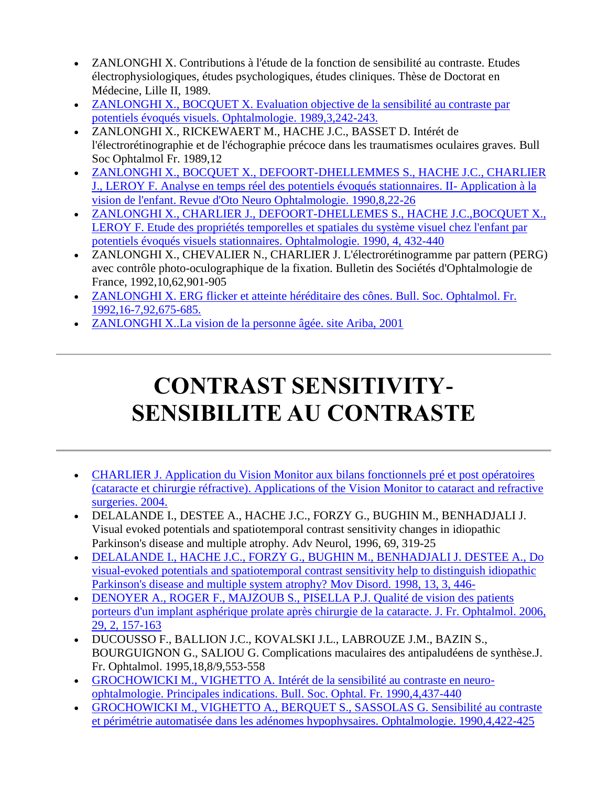- ZANLONGHI X. Contributions à l'étude de la fonction de sensibilité au contraste. Etudes électrophysiologiques, études psychologiques, études cliniques. Thèse de Doctorat en Médecine, Lille II, 1989.
- [ZANLONGHI X., BOCQUET X. Evaluation objective de la sensibilité au contraste par](http://www.metrovision.fr/pdf/1989_zanlonghi.pdf)  [potentiels évoqués visuels. Ophtalmologie. 1989,3,242-243.](http://www.metrovision.fr/pdf/1989_zanlonghi.pdf)
- ZANLONGHI X., RICKEWAERT M., HACHE J.C., BASSET D. Intérét de l'électrorétinographie et de l'échographie précoce dans les traumatismes oculaires graves. Bull Soc Ophtalmol Fr. 1989,12
- [ZANLONGHI X., BOCQUET X., DEFOORT-DHELLEMMES S., HACHE J.C., CHARLIER](http://www.metrovision.fr/pdf/1990_zanlonghi_B.pdf)  [J., LEROY F. Analyse en temps réel des potentiels évoqués stationnaires. II-](http://www.metrovision.fr/pdf/1990_zanlonghi_B.pdf) Application à la [vision de l'enfant. Revue d'Oto Neuro Ophtalmologie. 1990,8,22-26](http://www.metrovision.fr/pdf/1990_zanlonghi_B.pdf)
- [ZANLONGHI X., CHARLIER J., DEFOORT-DHELLEMES S., HACHE J.C.,BOCQUET X.,](http://www.metrovision.fr/pdf/1990_zanlonghi_C.pdf)  [LEROY F. Etude des propriétés temporelles et spatiales du système visuel chez l'enfant par](http://www.metrovision.fr/pdf/1990_zanlonghi_C.pdf)  [potentiels évoqués visuels stationnaires. Ophtalmologie. 1990, 4, 432-440](http://www.metrovision.fr/pdf/1990_zanlonghi_C.pdf)
- ZANLONGHI X., CHEVALIER N., CHARLIER J. L'électrorétinogramme par pattern (PERG) avec contrôle photo-oculographique de la fixation. Bulletin des Sociétés d'Ophtalmologie de France, 1992,10,62,901-905
- [ZANLONGHI X. ERG flicker et atteinte héréditaire des cônes. Bull. Soc. Ophtalmol. Fr.](http://www.metrovision.fr/pdf/1992_zanlonghi.pdf)  [1992,16-7,92,675-685.](http://www.metrovision.fr/pdf/1992_zanlonghi.pdf)
- [ZANLONGHI X..La vision de la personne âgée. site Ariba,](http://www.metrovision.fr/pdf/2001_zanlonghi_B.pdf) 2001

# **CONTRAST SENSITIVITY-SENSIBILITE AU CONTRASTE**

- [CHARLIER J. Application du Vision Monitor aux bilans fonctionnels pré et post opératoires](http://perso.wanadoo.fr/metrovision/pdf/2004_charlier_B.pdf)  [\(cataracte et chirurgie réfractive\). Applications of the Vision Monitor to cataract and refractive](http://perso.wanadoo.fr/metrovision/pdf/2004_charlier_B.pdf)  [surgeries. 2004.](http://perso.wanadoo.fr/metrovision/pdf/2004_charlier_B.pdf)
- DELALANDE I., DESTEE A., HACHE J.C., FORZY G., BUGHIN M., BENHADJALI J. Visual evoked potentials and spatiotemporal contrast sensitivity changes in idiopathic Parkinson's disease and multiple atrophy. Adv Neurol, 1996, 69, 319-25
- [DELALANDE I., HACHE J.C., FORZY G., BUGHIN M., BENHADJALI J. DESTEE A., Do](http://www.metrovision.fr/pdf/1998_delalande.pdf)  [visual-evoked potentials and spatiotemporal contrast sensitivity help to distinguish idiopathic](http://www.metrovision.fr/pdf/1998_delalande.pdf)  [Parkinson's disease and multiple system atrophy? Mov Disord. 1998, 13, 3, 446-](http://www.metrovision.fr/pdf/1998_delalande.pdf)
- [DENOYER A., ROGER F., MAJZOUB S., PISELLA P.J. Qualité de vision des patients](http://www.metrovision.fr/pdf/2006_denoyer.pdf)  [porteurs d'un implant asphérique prolate après chirurgie de la cataracte. J. Fr. Ophtalmol. 2006,](http://www.metrovision.fr/pdf/2006_denoyer.pdf)  [29, 2, 157-163](http://www.metrovision.fr/pdf/2006_denoyer.pdf)
- DUCOUSSO F., BALLION J.C., KOVALSKI J.L., LABROUZE J.M., BAZIN S., BOURGUIGNON G., SALIOU G. Complications maculaires des antipaludéens de synthèse.J. Fr. Ophtalmol. 1995,18,8/9,553-558
- [GROCHOWICKI M., VIGHETTO A. Intérét de la sensibilité au contraste en neuro](http://www.metrovision.fr/pdf/1990_grochowicki_B.pdf)[ophtalmologie. Principales indications. Bull. Soc. Ophtal. Fr. 1990,4,437-440](http://www.metrovision.fr/pdf/1990_grochowicki_B.pdf)
- [GROCHOWICKI M., VIGHETTO A., BERQUET S., SASSOLAS G. Sensibilité au contraste](http://www.metrovision.fr/pdf/1990_grochowicki_C.pdf)  [et périmétrie automatisée dans les adénomes hypophysaires. Ophtalmologie. 1990,4,422-425](http://www.metrovision.fr/pdf/1990_grochowicki_C.pdf)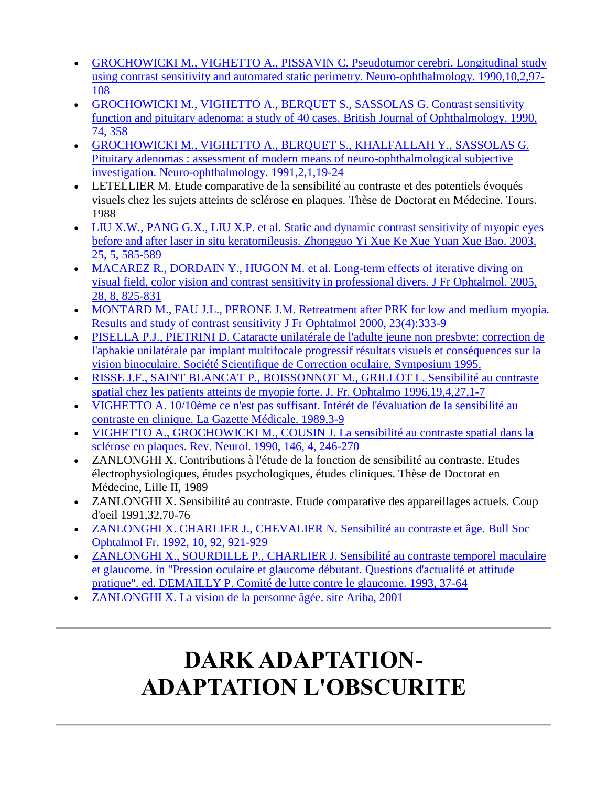- [GROCHOWICKI M., VIGHETTO A., PISSAVIN C. Pseudotumor cerebri. Longitudinal study](http://www.metrovision.fr/pdf/1990_grochowicki.pdf)  [using contrast sensitivity and automated static perimetry. Neuro-ophthalmology. 1990,10,2,97-](http://www.metrovision.fr/pdf/1990_grochowicki.pdf) [108](http://www.metrovision.fr/pdf/1990_grochowicki.pdf)
- [GROCHOWICKI M., VIGHETTO A., BERQUET S., SASSOLAS G. Contrast sensitivity](http://www.metrovision.fr/pdf/1990_grochowicki_D.pdf)  [function and pituitary adenoma: a study of 40 cases. British Journal of Ophthalmology. 1990,](http://www.metrovision.fr/pdf/1990_grochowicki_D.pdf)  [74, 358](http://www.metrovision.fr/pdf/1990_grochowicki_D.pdf)
- [GROCHOWICKI M., VIGHETTO A., BERQUET S., KHALFALLAH Y., SASSOLAS G.](http://www.metrovision.fr/pdf/1991_grochowicki_B.pdf)  [Pituitary adenomas : assessment of modern means of neuro-ophthalmological subjective](http://www.metrovision.fr/pdf/1991_grochowicki_B.pdf)  [investigation. Neuro-ophthalmology. 1991,2,1,19-24](http://www.metrovision.fr/pdf/1991_grochowicki_B.pdf)
- LETELLIER M. Etude comparative de la sensibilité au contraste et des potentiels évoqués visuels chez les sujets atteints de sclérose en plaques. Thèse de Doctorat en Médecine. Tours. 1988
- [LIU X.W., PANG G.X., LIU X.P. et al. Static and dynamic contrast sensitivity of myopic eyes](http://www.metrovision.fr/pdf/2003_liu.pdf)  [before and after laser in situ keratomileusis. Zhongguo Yi Xue Ke Xue Yuan Xue Bao. 2003,](http://www.metrovision.fr/pdf/2003_liu.pdf)  [25, 5, 585-589](http://www.metrovision.fr/pdf/2003_liu.pdf)
- MACAREZ R., DORDAIN Y., HUGON M. et al. Long-term effects of iterative diving on [visual field, color vision and contrast sensitivity in professional divers. J Fr Ophtalmol. 2005,](http://www.metrovision.fr/pdf/2005_macarez.pdf)  [28, 8, 825-831](http://www.metrovision.fr/pdf/2005_macarez.pdf)
- [MONTARD M., FAU J.L., PERONE J.M. Retreatment after PRK for low and medium myopia.](http://www.metrovision.fr/pdf/2000_montard.pdf)  [Results and study of contrast sensitivity J Fr Ophtalmol 2000, 23\(4\):333-9](http://www.metrovision.fr/pdf/2000_montard.pdf)
- [PISELLA P.J., PIETRINI D. Cataracte unilatérale de l'adulte jeune non presbyte: correction de](http://www.metrovision.fr/pdf/1995_pisella.pdf)  [l'aphakie unilatérale par implant multifocale progressif résultats visuels et conséquences sur la](http://www.metrovision.fr/pdf/1995_pisella.pdf)  [vision binoculaire. Société Scientifique de Correction oculaire, Symposium 1995.](http://www.metrovision.fr/pdf/1995_pisella.pdf)
- [RISSE J.F., SAINT BLANCAT P., BOISSONNOT M., GRILLOT L. Sensibilité au contraste](http://www.metrovision.fr/pdf/1996_risse.pdf)  [spatial chez les patients atteints de myopie forte. J. Fr. Ophtalmo 1996,19,4,27,1-7](http://www.metrovision.fr/pdf/1996_risse.pdf)
- [VIGHETTO A. 10/10ème ce n'est pas suffisant. Intérét de l'évaluation de la sensibilité au](http://www.metrovision.fr/pdf/1989_vighetto.pdf)  [contraste en clinique. La Gazette Médicale. 1989,3-9](http://www.metrovision.fr/pdf/1989_vighetto.pdf)
- [VIGHETTO A., GROCHOWICKI M., COUSIN J. La sensibilité au contraste spatial dans la](http://www.metrovision.fr/pdf/1990_vighetto.pdf)  [sclérose en plaques. Rev. Neurol. 1990, 146, 4, 246-270](http://www.metrovision.fr/pdf/1990_vighetto.pdf)
- ZANLONGHI X. Contributions à l'étude de la fonction de sensibilité au contraste. Etudes électrophysiologiques, études psychologiques, études cliniques. Thèse de Doctorat en Médecine, Lille II, 1989
- ZANLONGHI X. Sensibilité au contraste. Etude comparative des appareillages actuels. Coup d'oeil 1991,32,70-76
- [ZANLONGHI X. CHARLIER J., CHEVALIER N. Sensibilité au contraste et âge. Bull Soc](http://www.metrovision.fr/pdf/1992_zanlonghi_B.pdf)  [Ophtalmol Fr. 1992, 10, 92, 921-929](http://www.metrovision.fr/pdf/1992_zanlonghi_B.pdf)
- [ZANLONGHI X., SOURDILLE P., CHARLIER J. Sensibilité au contraste temporel maculaire](http://www.metrovision.fr/HELP15/MFSCdoc1.html)  [et glaucome. in "Pression oculaire et glaucome débutant. Questions d'actualité et attitude](http://www.metrovision.fr/HELP15/MFSCdoc1.html)  [pratique". ed. DEMAILLY P. Comité de lutte contre le glaucome. 1993, 37-64](http://www.metrovision.fr/HELP15/MFSCdoc1.html)
- [ZANLONGHI X. La vision de la personne âgée. site Ariba, 2001](http://www.metrovision.fr/pdf/2001_zanlonghi_B.pdf)

# **DARK ADAPTATION-ADAPTATION L'OBSCURITE**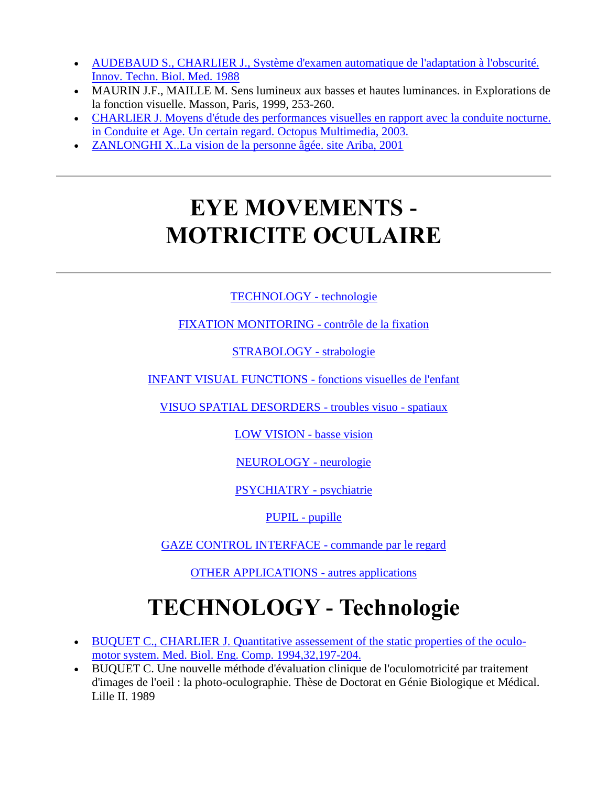- [AUDEBAUD S., CHARLIER J., Système d'examen automatique de l'adaptation à l'obscurité.](http://www.metrovision.fr/pdf/1988_audebaud.pdf)  [Innov. Techn. Biol. Med. 1988](http://www.metrovision.fr/pdf/1988_audebaud.pdf)
- MAURIN J.F., MAILLE M. Sens lumineux aux basses et hautes luminances. in Explorations de la fonction visuelle. Masson, Paris, 1999, 253-260.
- [CHARLIER J. Moyens d'étude des performances visuelles en rapport avec la conduite nocturne.](http://www.metrovision.fr/pdf/2003_charlier.pdf)  [in Conduite et Age. Un certain regard. Octopus Multimedia, 2003.](http://www.metrovision.fr/pdf/2003_charlier.pdf)
- [ZANLONGHI X..La vision de la personne âgée. site Ariba, 2001](http://www.metrovision.fr/pdf/2001_zanlonghi_B.pdf)

# **EYE MOVEMENTS - MOTRICITE OCULAIRE**

#### [TECHNOLOGY -](http://www.metrovision.fr/MFc25.html#LA_TECHNIQUE) technologie

#### [FIXATION MONITORING -](http://www.metrovision.fr/MFc25.html#CONTROLE_DE_FIXATION) contrôle de la fixation

[STRABOLOGY -](http://www.metrovision.fr/MFc25.html#STRABOLOGIE) strabologie

[INFANT VISUAL FUNCTIONS -](http://www.metrovision.fr/MFc25.html#ENFANT) fonctions visuelles de l'enfant

[VISUO SPATIAL DESORDERS -](http://www.metrovision.fr/MFc25.html#TROUBLES_VISUO_SPATIAUX) troubles visuo - spatiaux

[LOW VISION -](http://www.metrovision.fr/MFc25.html#BASSEVISION) basse vision

[NEUROLOGY -](http://www.metrovision.fr/MFc25.html#NEUROLOGIE) neurologie

[PSYCHIATRY -](http://www.metrovision.fr/MFc25.html#PSYCHIATRIE) psychiatrie

[PUPIL -](http://www.metrovision.fr/MFc25.html#REFLEXE_PUPILLAIRE) pupille

[GAZE CONTROL INTERFACE -](http://www.metrovision.fr/MFc25.html#COMMANDE_PAR_LE_REGARD) commande par le regard

[OTHER APPLICATIONS -](http://www.metrovision.fr/MFc25.html#AUTRES) autres applications

# **TECHNOLOGY - Technologie**

- [BUQUET C., CHARLIER J. Quantitative assessement of the static properties of the oculo](http://www.metrovision.fr/pdf/1994_buquet.pdf)[motor system. Med. Biol. Eng. Comp. 1994,32,197-204.](http://www.metrovision.fr/pdf/1994_buquet.pdf)
- BUQUET C. Une nouvelle méthode d'évaluation clinique de l'oculomotricité par traitement d'images de l'oeil : la photo-oculographie. Thèse de Doctorat en Génie Biologique et Médical. Lille II. 1989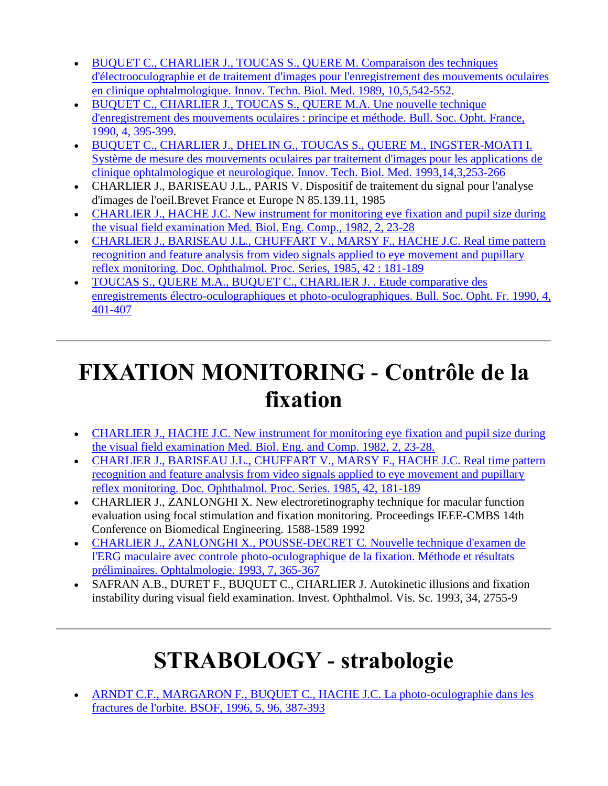- [BUQUET C., CHARLIER J., TOUCAS S., QUERE M. Comparaison des techniques](http://www.metrovision.fr/pdf/1989_buquet.pdf)  [d'électrooculographie et de traitement d'images pour l'enregistrement des mouvements oculaires](http://www.metrovision.fr/pdf/1989_buquet.pdf)  [en clinique ophtalmologique. Innov. Techn. Biol. Med. 1989, 10,5,542-552.](http://www.metrovision.fr/pdf/1989_buquet.pdf)
- [BUQUET C., CHARLIER J., TOUCAS S., QUERE M.A. Une nouvelle technique](http://www.metrovision.fr/pdf/1990_buquet.pdf)  [d'enregistrement des mouvements oculaires : principe et méthode. Bull. Soc. Opht. France,](http://www.metrovision.fr/pdf/1990_buquet.pdf)  [1990, 4, 395-399.](http://www.metrovision.fr/pdf/1990_buquet.pdf)
- [BUQUET C., CHARLIER J., DHELIN G., TOUCAS S., QUERE M., INGSTER-MOATI I.](http://www.metrovision.fr/pdf/1993_buquet.pdf)  [Système de mesure des mouvements oculaires par traitement d'images pour les applications de](http://www.metrovision.fr/pdf/1993_buquet.pdf)  [clinique ophtalmologique et neurologique. Innov. Tech. Biol. Med. 1993,14,3,253-266](http://www.metrovision.fr/pdf/1993_buquet.pdf)
- CHARLIER J., BARISEAU J.L., PARIS V. Dispositif de traitement du signal pour l'analyse d'images de l'oeil.Brevet France et Europe N 85.139.11, 1985
- [CHARLIER J., HACHE J.C. New instrument for monitoring eye fixation and](http://www.metrovision.fr/pdf/1982_charlier.pdf) pupil size during [the visual field examination Med. Biol. Eng. Comp., 1982, 2, 23-28](http://www.metrovision.fr/pdf/1982_charlier.pdf)
- [CHARLIER J., BARISEAU J.L., CHUFFART V., MARSY F., HACHE J.C. Real time pattern](http://www.metrovision.fr/pdf/1985_charlier.pdf)  [recognition and feature analysis from video signals applied to eye movement and pupillary](http://www.metrovision.fr/pdf/1985_charlier.pdf)  [reflex monitoring. Doc. Ophthalmol. Proc. Series, 1985, 42 : 181-189](http://www.metrovision.fr/pdf/1985_charlier.pdf)
- [TOUCAS S., QUERE M.A., BUQUET C., CHARLIER J. . Etude comparative des](http://www.metrovision.fr/pdf/1990_toucas.pdf)  [enregistrements électro-oculographiques et photo-oculographiques. Bull. Soc. Opht. Fr. 1990, 4,](http://www.metrovision.fr/pdf/1990_toucas.pdf)  [401-407](http://www.metrovision.fr/pdf/1990_toucas.pdf)

### **FIXATION MONITORING - Contrôle de la fixation**

- [CHARLIER J., HACHE J.C. New instrument for monitoring eye fixation and pupil size during](http://www.metrovision.fr/pdf/1982_charlier.pdf)  [the visual field examination Med. Biol. Eng. and Comp. 1982, 2, 23-28.](http://www.metrovision.fr/pdf/1982_charlier.pdf)
- [CHARLIER J., BARISEAU J.L., CHUFFART V., MARSY F., HACHE J.C. Real time pattern](http://www.metrovision.fr/pdf/1985_charlier.pdf)  [recognition and feature analysis from video signals applied to eye movement and pupillary](http://www.metrovision.fr/pdf/1985_charlier.pdf)  [reflex monitoring. Doc. Ophthalmol. Proc.](http://www.metrovision.fr/pdf/1985_charlier.pdf) Series. 1985, 42, 181-189
- CHARLIER J., ZANLONGHI X. New electroretinography technique for macular function evaluation using focal stimulation and fixation monitoring. Proceedings IEEE-CMBS 14th Conference on Biomedical Engineering. 1588-1589 1992
- [CHARLIER J., ZANLONGHI X., POUSSE-DECRET C. Nouvelle technique d'examen de](http://www.metrovision.fr/pdf/1990_charlier_C.pdf)  [l'ERG maculaire avec controle photo-oculographique de la fixation. Méthode et résultats](http://www.metrovision.fr/pdf/1990_charlier_C.pdf)  [préliminaires. Ophtalmologie.](http://www.metrovision.fr/pdf/1990_charlier_C.pdf) 1993, 7, 365-367
- SAFRAN A.B., DURET F., BUQUET C., CHARLIER J. Autokinetic illusions and fixation instability during visual field examination. Invest. Ophthalmol. Vis. Sc. 1993, 34, 2755-9

# **STRABOLOGY - strabologie**

 [ARNDT C.F., MARGARON F., BUQUET C., HACHE J.C. La photo-oculographie dans les](http://www.metrovision.fr/pdf/1997_gottlobl.pdf)  [fractures de l'orbite. BSOF, 1996, 5, 96, 387-393](http://www.metrovision.fr/pdf/1997_gottlobl.pdf)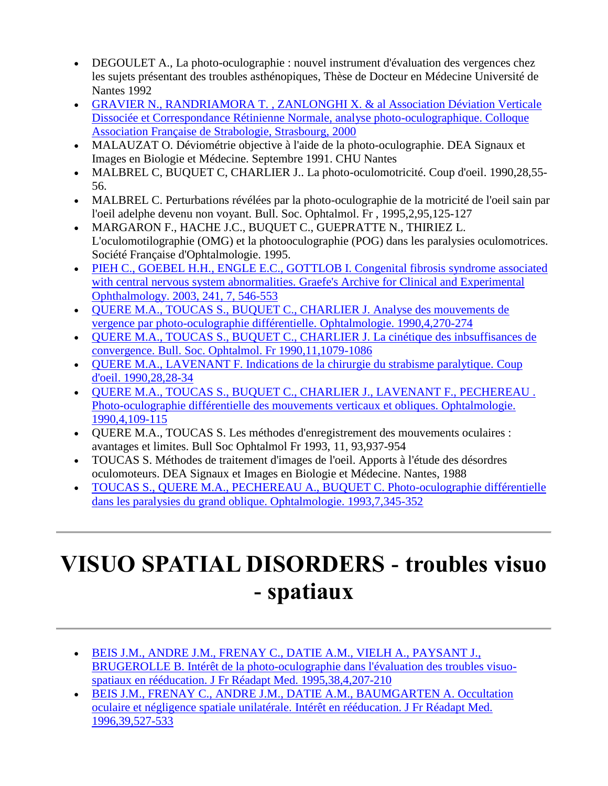- DEGOULET A., La photo-oculographie : nouvel instrument d'évaluation des vergences chez les sujets présentant des troubles asthénopiques, Thèse de Docteur en Médecine Université de Nantes 1992
- [GRAVIER N., RANDRIAMORA T. , ZANLONGHI X. & al Association Déviation Verticale](http://www.metrovision.fr/pdf/2000_gravier.pdf)  [Dissociée et Correspondance Rétinienne Normale, analyse photo-oculographique. Colloque](http://www.metrovision.fr/pdf/2000_gravier.pdf)  [Association Française de Strabologie, Strasbourg, 2000](http://www.metrovision.fr/pdf/2000_gravier.pdf)
- MALAUZAT O. Déviométrie objective à l'aide de la photo-oculographie. DEA Signaux et Images en Biologie et Médecine. Septembre 1991. CHU Nantes
- MALBREL C, BUQUET C, CHARLIER J.. La photo-oculomotricité. Coup d'oeil. 1990,28,55- 56.
- MALBREL C. Perturbations révélées par la photo-oculographie de la motricité de l'oeil sain par l'oeil adelphe devenu non voyant. Bull. Soc. Ophtalmol. Fr , 1995,2,95,125-127
- MARGARON F., HACHE J.C., BUQUET C., GUEPRATTE N., THIRIEZ L. L'oculomotilographie (OMG) et la photooculographie (POG) dans les paralysies oculomotrices. Société Française d'Ophtalmologie. 1995.
- [PIEH C., GOEBEL H.H., ENGLE E.C., GOTTLOB I. Congenital fibrosis syndrome associated](http://www.metrovision.fr/pdf/2003_pieh.pdf)  [with central nervous system abnormalities. Graefe's Archive for Clinical and Experimental](http://www.metrovision.fr/pdf/2003_pieh.pdf)  [Ophthalmology. 2003, 241, 7, 546-553](http://www.metrovision.fr/pdf/2003_pieh.pdf)
- [QUERE M.A., TOUCAS S., BUQUET C., CHARLIER J. Analyse des mouvements de](http://www.metrovision.fr/pdf/1990_quere.pdf)  [vergence par photo-oculographie différentielle. Ophtalmologie. 1990,4,270-274](http://www.metrovision.fr/pdf/1990_quere.pdf)
- [QUERE M.A., TOUCAS S., BUQUET C., CHARLIER J. La cinétique des inbsuffisances de](http://www.metrovision.fr/pdf/1990_quere_B.pdf)  [convergence. Bull. Soc. Ophtalmol. Fr 1990,11,1079-1086](http://www.metrovision.fr/pdf/1990_quere_B.pdf)
- [QUERE M.A., LAVENANT F. Indications de la chirurgie du strabisme paralytique. Coup](http://www.metrovision.fr/pdf/1990_quere_D.pdf)  [d'oeil. 1990,28,28-34](http://www.metrovision.fr/pdf/1990_quere_D.pdf)
- [QUERE M.A., TOUCAS S., BUQUET C., CHARLIER J., LAVENANT F., PECHEREAU .](http://www.metrovision.fr/pdf/1990_quere_C.pdf)  [Photo-oculographie différentielle des mouvements verticaux et obliques. Ophtalmologie.](http://www.metrovision.fr/pdf/1990_quere_C.pdf)  [1990,4,109-115](http://www.metrovision.fr/pdf/1990_quere_C.pdf)
- QUERE M.A., TOUCAS S. Les méthodes d'enregistrement des mouvements oculaires : avantages et limites. Bull Soc Ophtalmol Fr 1993, 11, 93,937-954
- TOUCAS S. Méthodes de traitement d'images de l'oeil. Apports à l'étude des désordres oculomoteurs. DEA Signaux et Images en Biologie et Médecine. Nantes, 1988
- [TOUCAS S., QUERE M.A., PECHEREAU A., BUQUET C. Photo-oculographie différentielle](http://www.metrovision.fr/pdf/1993_toucas.pdf)  [dans les paralysies du grand oblique. Ophtalmologie. 1993,7,345-352](http://www.metrovision.fr/pdf/1993_toucas.pdf)

### **VISUO SPATIAL DISORDERS - troubles visuo - spatiaux**

- [BEIS J.M., ANDRE J.M., FRENAY C., DATIE A.M., VIELH A., PAYSANT J.,](http://www.metrovision.fr/pdf/1995_beis.pdf)  [BRUGEROLLE B. Intérêt de la photo-oculographie dans l'évaluation des troubles visuo](http://www.metrovision.fr/pdf/1995_beis.pdf)[spatiaux en rééducation. J Fr Réadapt Med. 1995,38,4,207-210](http://www.metrovision.fr/pdf/1995_beis.pdf)
- [BEIS J.M., FRENAY C., ANDRE J.M., DATIE A.M., BAUMGARTEN A. Occultation](http://www.metrovision.fr/pdf/1996_beis.pdf)  [oculaire et négligence spatiale unilatérale. Intérêt en rééducation. J Fr Réadapt Med.](http://www.metrovision.fr/pdf/1996_beis.pdf)  [1996,39,527-533](http://www.metrovision.fr/pdf/1996_beis.pdf)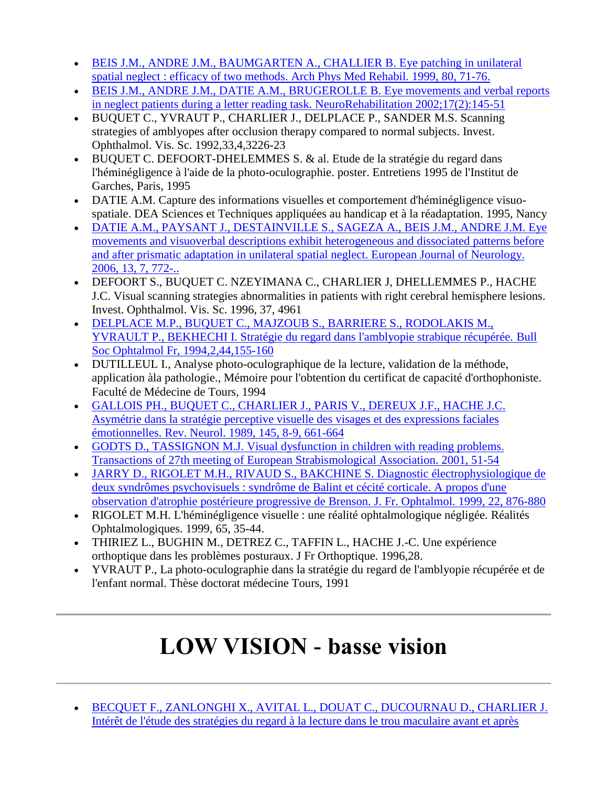- BEIS [J.M., ANDRE J.M., BAUMGARTEN A., CHALLIER B. Eye patching in unilateral](http://www.metrovision.fr/pdf/1999_beis.pdf)  [spatial neglect : efficacy of two methods. Arch Phys Med Rehabil. 1999, 80, 71-76.](http://www.metrovision.fr/pdf/1999_beis.pdf)
- BEIS J.M., ANDRE J.M., DATIE A.M., BRUGEROLLE B. Eye movements and verbal reports [in neglect patients during a letter reading task. NeuroRehabilitation 2002;17\(2\):145-51](http://www.metrovision.fr/pdf/2001_beis.pdf)
- BUQUET C., YVRAUT P., CHARLIER J., DELPLACE P., SANDER M.S. Scanning strategies of amblyopes after occlusion therapy compared to normal subjects. Invest. Ophthalmol. Vis. Sc. 1992,33,4,3226-23
- BUQUET C. DEFOORT-DHELEMMES S. & al. Etude de la stratégie du regard dans l'héminégligence à l'aide de la photo-oculographie. poster. Entretiens 1995 de l'Institut de Garches, Paris, 1995
- DATIE A.M. Capture des informations visuelles et comportement d'héminégligence visuospatiale. DEA Sciences et Techniques appliquées au handicap et à la réadaptation. 1995, Nancy
- [DATIE A.M., PAYSANT J., DESTAINVILLE S., SAGEZA A., BEIS J.M., ANDRE J.M. Eye](http://www.metrovision.fr/pdf/2006_datie.pdf)  [movements and visuoverbal descriptions exhibit heterogeneous and dissociated patterns before](http://www.metrovision.fr/pdf/2006_datie.pdf)  [and after prismatic adaptation in unilateral spatial neglect.](http://www.metrovision.fr/pdf/2006_datie.pdf) European Journal of Neurology. [2006, 13, 7, 772-..](http://www.metrovision.fr/pdf/2006_datie.pdf)
- DEFOORT S., BUQUET C. NZEYIMANA C., CHARLIER J, DHELLEMMES P., HACHE J.C. Visual scanning strategies abnormalities in patients with right cerebral hemisphere lesions. Invest. Ophthalmol. Vis. Sc. 1996, 37, 4961
- [DELPLACE M.P., BUQUET C., MAJZOUB S., BARRIERE S., RODOLAKIS M.,](http://www.metrovision.fr/pdf/1994_delplace.pdf)  [YVRAULT P., BEKHECHI I. Stratégie du regard dans l'amblyopie strabique récupérée. Bull](http://www.metrovision.fr/pdf/1994_delplace.pdf)  [Soc Ophtalmol Fr, 1994,2,44,155-160](http://www.metrovision.fr/pdf/1994_delplace.pdf)
- DUTILLEUL I., Analyse photo-oculographique de la lecture, validation de la méthode, application àla pathologie., Mémoire pour l'obtention du certificat de capacité d'orthophoniste. Faculté de Médecine de Tours, 1994
- [GALLOIS PH., BUQUET C., CHARLIER J., PARIS V., DEREUX J.F., HACHE J.C.](http://www.metrovision.fr/pdf/1989_gallois.pdf)  [Asymétrie dans la stratégie perceptive visuelle des visages et des expressions faciales](http://www.metrovision.fr/pdf/1989_gallois.pdf)  [émotionnelles. Rev. Neurol. 1989, 145, 8-9, 661-664](http://www.metrovision.fr/pdf/1989_gallois.pdf)
- [GODTS D., TASSIGNON M.J. Visual dysfunction in children with reading problems.](http://www.metrovision.fr/pdf/2001_godts.pdf)  [Transactions of 27th meeting of European Strabismological Association. 2001, 51-54](http://www.metrovision.fr/pdf/2001_godts.pdf)
- [JARRY D., RIGOLET M.H., RIVAUD S., BAKCHINE S. Diagnostic électrophysiologique de](http://www.metrovision.fr/pdf/1999_jarry.pdf)  [deux syndrômes psychovisuels : syndrôme de Balint et cécité corticale. A propos d'une](http://www.metrovision.fr/pdf/1999_jarry.pdf)  [observation d'atrophie postérieure progressive de Brenson. J. Fr. Ophtalmol. 1999, 22, 876-880](http://www.metrovision.fr/pdf/1999_jarry.pdf)
- RIGOLET M.H. L'héminégligence visuelle : une réalité ophtalmologique négligée. Réalités Ophtalmologiques. 1999, 65, 35-44.
- THIRIEZ L., BUGHIN M., DETREZ C., TAFFIN L., HACHE J.-C. Une expérience orthoptique dans les problèmes posturaux. J Fr Orthoptique. 1996,28.
- YVRAUT P., La photo-oculographie dans la stratégie du regard de l'amblyopie récupérée et de l'enfant normal. Thèse doctorat médecine Tours, 1991

### **LOW VISION - basse vision**

 [BECQUET F., ZANLONGHI X., AVITAL L., DOUAT C., DUCOURNAU D., CHARLIER J.](http://www.metrovision.fr/pdf/2002_becquet.pdf)  [Intérêt de l'étude des stratégies du regard à la lecture dans le trou maculaire avant et après](http://www.metrovision.fr/pdf/2002_becquet.pdf)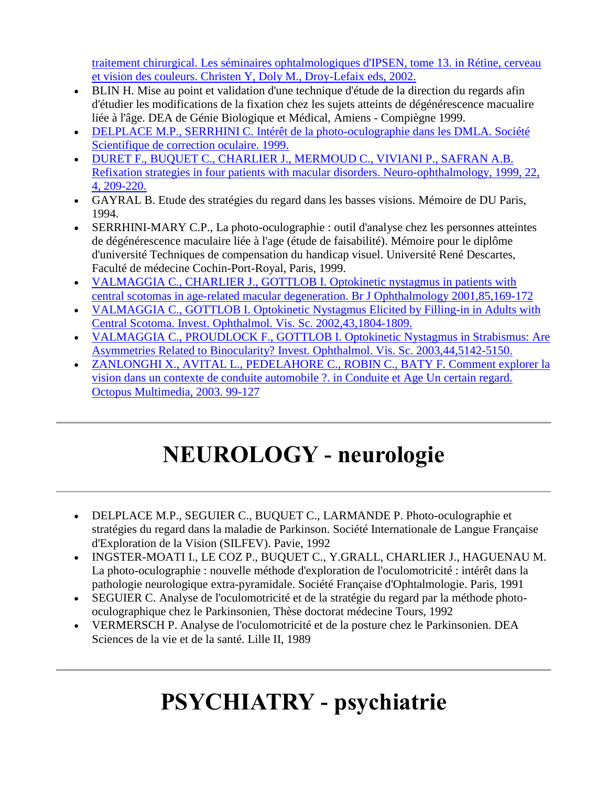traitement chirurgical. Les [séminaires ophtalmologiques d'IPSEN, tome 13. in Rétine, cerveau](http://www.metrovision.fr/pdf/2002_becquet.pdf)  [et vision des couleurs. Christen Y, Doly M., Droy-Lefaix eds, 2002.](http://www.metrovision.fr/pdf/2002_becquet.pdf)

- BLIN H. Mise au point et validation d'une technique d'étude de la direction du regards afin d'étudier les modifications de la fixation chez les sujets atteints de dégénérescence macualire liée à l'âge. DEA de Génie Biologique et Médical, Amiens - Compiègne 1999.
- [DELPLACE M.P., SERRHINI C. Intérêt de la photo-oculographie dans les DMLA. Société](http://www.metrovision.fr/pdf/1999_delplace.pdf)  [Scientifique de correction oculaire. 1999.](http://www.metrovision.fr/pdf/1999_delplace.pdf)
- [DURET F., BUQUET C., CHARLIER J., MERMOUD C., VIVIANI P., SAFRAN A.B.](http://www.metrovision.fr/pdf/1999_duret.pdf)  [Refixation strategies in four patients with macular disorders. Neuro-ophthalmology, 1999, 22,](http://www.metrovision.fr/pdf/1999_duret.pdf)  [4, 209-220.](http://www.metrovision.fr/pdf/1999_duret.pdf)
- GAYRAL B. Etude des stratégies du regard dans les basses visions. Mémoire de DU Paris, 1994.
- SERRHINI-MARY C.P., La photo-oculographie : outil d'analyse chez les personnes atteintes de dégénérescence maculaire liée à l'age (étude de faisabilité). Mémoire pour le diplôme d'université Techniques de compensation du handicap visuel. Université René Descartes, Faculté de médecine Cochin-Port-Royal, Paris, 1999.
- [VALMAGGIA C., CHARLIER J., GOTTLOB I. Optokinetic nystagmus in patients with](http://www.metrovision.fr/pdf/2001_valmaggia.pdf)  [central scotomas in age-related macular degeneration. Br J Ophthalmology 2001,85,169-172](http://www.metrovision.fr/pdf/2001_valmaggia.pdf)
- [VALMAGGIA C., GOTTLOB I. Optokinetic Nystagmus Elicited by Filling-in in Adults with](http://www.metrovision.fr/pdf/2002_valmaggia.pdf)  [Central Scotoma. Invest. Ophthalmol. Vis. Sc. 2002,43,1804-1809.](http://www.metrovision.fr/pdf/2002_valmaggia.pdf)
- [VALMAGGIA C., PROUDLOCK F., GOTTLOB I. Optokinetic Nystagmus in Strabismus: Are](http://www.metrovision.fr/pdf/2002_valmaggia.pdf)  [Asymmetries Related to Binocularity? Invest. Ophthalmol. Vis. Sc. 2003,44,5142-5150.](http://www.metrovision.fr/pdf/2002_valmaggia.pdf)
- [ZANLONGHI X., AVITAL L., PEDELAHORE C., ROBIN C., BATY F. Comment explorer la](http://www.metrovision.fr/pdf/2003_zanlonghi.pdf)  [vision dans un contexte de conduite automobile ?. in Conduite et Age Un certain regard.](http://www.metrovision.fr/pdf/2003_zanlonghi.pdf)  [Octopus Multimedia, 2003. 99-127](http://www.metrovision.fr/pdf/2003_zanlonghi.pdf)

# **NEUROLOGY - neurologie**

- DELPLACE M.P., SEGUIER C., BUQUET C., LARMANDE P. Photo-oculographie et stratégies du regard dans la maladie de Parkinson. Société Internationale de Langue Française d'Exploration de la Vision (SILFEV). Pavie, 1992
- INGSTER-MOATI I., LE COZ P., BUQUET C., Y.GRALL, CHARLIER J., HAGUENAU M. La photo-oculographie : nouvelle méthode d'exploration de l'oculomotricité : intérêt dans la pathologie neurologique extra-pyramidale. Société Française d'Ophtalmologie. Paris, 1991
- SEGUIER C. Analyse de l'oculomotricité et de la stratégie du regard par la méthode photooculographique chez le Parkinsonien, Thèse doctorat médecine Tours, 1992
- VERMERSCH P. Analyse de l'oculomotricité et de la posture chez le Parkinsonien. DEA Sciences de la vie et de la santé. Lille II, 1989

# **PSYCHIATRY - psychiatrie**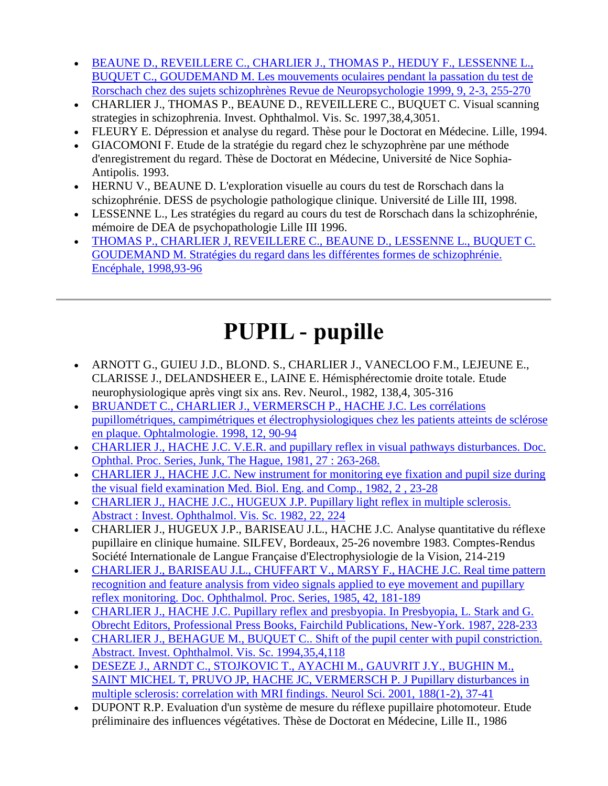- [BEAUNE D., REVEILLERE C., CHARLIER J., THOMAS P., HEDUY F., LESSENNE L.,](http://www.metrovision.fr/pdf/1999_beaune.pdf)  [BUQUET C., GOUDEMAND M. Les mouvements oculaires pendant la passation du test de](http://www.metrovision.fr/pdf/1999_beaune.pdf)  [Rorschach chez des sujets schizophrènes Revue de Neuropsychologie 1999, 9, 2-3, 255-270](http://www.metrovision.fr/pdf/1999_beaune.pdf)
- CHARLIER J., THOMAS P., BEAUNE D., REVEILLERE C., BUQUET C. Visual scanning strategies in schizophrenia. Invest. Ophthalmol. Vis. Sc. 1997,38,4,3051.
- FLEURY E. Dépression et analyse du regard. Thèse pour le Doctorat en Médecine. Lille, 1994.
- GIACOMONI F. Etude de la stratégie du regard chez le schyzophrène par une méthode d'enregistrement du regard. Thèse de Doctorat en Médecine, Université de Nice Sophia-Antipolis. 1993.
- HERNU V., BEAUNE D. L'exploration visuelle au cours du test de Rorschach dans la schizophrénie. DESS de psychologie pathologique clinique. Université de Lille III, 1998.
- LESSENNE L., Les stratégies du regard au cours du test de Rorschach dans la schizophrénie, mémoire de DEA de psychopathologie Lille III 1996.
- [THOMAS P., CHARLIER J, REVEILLERE C., BEAUNE D., LESSENNE L., BUQUET C.](http://www.metrovision.fr/pdf/1998_thomas.pdf)  [GOUDEMAND M. Stratégies du regard dans les différentes formes de schizophrénie.](http://www.metrovision.fr/pdf/1998_thomas.pdf)  [Encéphale, 1998,93-96](http://www.metrovision.fr/pdf/1998_thomas.pdf)

# **PUPIL - pupille**

- ARNOTT G., GUIEU J.D., BLOND. S., CHARLIER J., VANECLOO F.M., LEJEUNE E., CLARISSE J., DELANDSHEER E., LAINE E. Hémisphérectomie droite totale. Etude neurophysiologique après vingt six ans. Rev. Neurol., 1982, 138,4, 305-316
- [BRUANDET C., CHARLIER J., VERMERSCH P., HACHE J.C. Les corrélations](http://www.metrovision.fr/pdf/1998_bruandet.pdf)  [pupillométriques, campimétriques et électrophysiologiques chez les patients atteints de sclérose](http://www.metrovision.fr/pdf/1998_bruandet.pdf)  [en plaque. Ophtalmologie. 1998, 12, 90-94](http://www.metrovision.fr/pdf/1998_bruandet.pdf)
- CHARLIER J., HACHE J.C. V.E.R. and pupillary reflex in visual pathways disturbances. Doc. [Ophthal. Proc. Series, Junk, The Hague, 1981, 27 : 263-268.](http://www.metrovision.fr/pdf/1981_charlier.pdf)
- [CHARLIER J., HACHE J.C. New instrument for monitoring eye fixation and pupil size during](http://www.metrovision.fr/pdf/1982_charlier.pdf)  [the visual field examination Med. Biol. Eng. and Comp., 1982, 2 , 23-28](http://www.metrovision.fr/pdf/1982_charlier.pdf)
- [CHARLIER J., HACHE J.C., HUGEUX J.P. Pupillary light reflex in multiple sclerosis.](http://www.metrovision.fr/Help3/MFPUdoc1.html)  [Abstract : Invest. Ophthalmol. Vis. Sc. 1982, 22, 224](http://www.metrovision.fr/Help3/MFPUdoc1.html)
- CHARLIER J., HUGEUX J.P., BARISEAU J.L., HACHE J.C. Analyse quantitative du réflexe pupillaire en clinique humaine. SILFEV, Bordeaux, 25-26 novembre 1983. Comptes-Rendus Société Internationale de Langue Française d'Electrophysiologie de la Vision, 214-219
- CHARLIER J., BARISEAU J.L., CHUFFART V., MARSY F., HACHE J.C. Real time pattern [recognition and feature analysis from video signals applied to eye movement and pupillary](http://www.metrovision.fr/pdf/1985_charlier.pdf)  [reflex monitoring. Doc. Ophthalmol. Proc.](http://www.metrovision.fr/pdf/1985_charlier.pdf) Series, 1985, 42, 181-189
- [CHARLIER J., HACHE J.C. Pupillary reflex and presbyopia. In Presbyopia, L. Stark and G.](http://www.metrovision.fr/pdf/1987_charlier.pdf)  [Obrecht Editors, Professional Press Books, Fairchild Publications, New-York. 1987, 228-233](http://www.metrovision.fr/pdf/1987_charlier.pdf)
- [CHARLIER J., BEHAGUE M., BUQUET C.. Shift of the pupil center with pupil constriction.](http://www.metrovision.fr/pdf/1994_charlier.pdf)  [Abstract. Invest. Ophthalmol. Vis. Sc. 1994,35,4,118](http://www.metrovision.fr/pdf/1994_charlier.pdf)
- [DESEZE J., ARNDT C., STOJKOVIC T., AYACHI M., GAUVRIT J.Y., BUGHIN M.,](http://www.metrovision.fr/pdf/2001_deseze.pdf)  [SAINT MICHEL T, PRUVO JP, HACHE JC, VERMERSCH P. J Pupillary disturbances in](http://www.metrovision.fr/pdf/2001_deseze.pdf)  [multiple sclerosis: correlation with MRI findings. Neurol Sci. 2001, 188\(1-2\), 37-41](http://www.metrovision.fr/pdf/2001_deseze.pdf)
- DUPONT R.P. Evaluation d'un système de mesure du réflexe pupillaire photomoteur. Etude préliminaire des influences végétatives. Thèse de Doctorat en Médecine, Lille II., 1986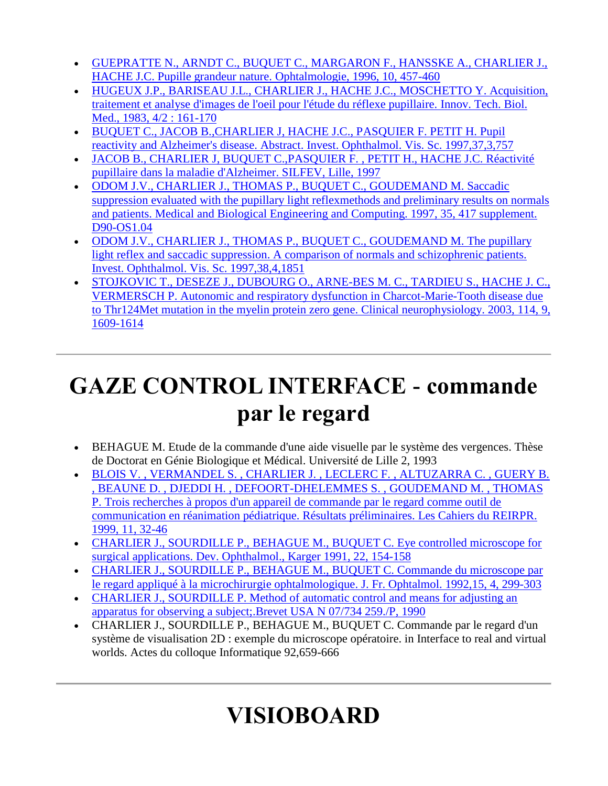- [GUEPRATTE N., ARNDT C., BUQUET C., MARGARON F., HANSSKE A., CHARLIER J.,](http://www.metrovision.fr/pdf/1996_guepratte.pdf)  [HACHE J.C. Pupille grandeur nature. Ophtalmologie, 1996, 10, 457-460](http://www.metrovision.fr/pdf/1996_guepratte.pdf)
- [HUGEUX J.P., BARISEAU J.L., CHARLIER J., HACHE J.C.,](http://www.metrovision.fr/pdf/1983_hugeux.pdf) MOSCHETTO Y. Acquisition, [traitement et analyse d'images de l'oeil pour l'étude du réflexe pupillaire. Innov. Tech. Biol.](http://www.metrovision.fr/pdf/1983_hugeux.pdf)  [Med., 1983, 4/2 : 161-170](http://www.metrovision.fr/pdf/1983_hugeux.pdf)
- [BUQUET C., JACOB B.,CHARLIER J, HACHE J.C., PASQUIER F. PETIT H. Pupil](http://www.metrovision.fr/pdf/1997_buquet.pdf)  [reactivity and Alzheimer's disease. Abstract. Invest. Ophthalmol. Vis. Sc. 1997,37,3,757](http://www.metrovision.fr/pdf/1997_buquet.pdf)
- [JACOB B., CHARLIER J, BUQUET C.,PASQUIER F. , PETIT H., HACHE J.C. Réactivité](http://www.metrovision.fr/pdf/1997_jacob.pdf)  [pupillaire dans la maladie d'Alzheimer. SILFEV, Lille, 1997](http://www.metrovision.fr/pdf/1997_jacob.pdf)
- [ODOM J.V., CHARLIER J., THOMAS P., BUQUET C., GOUDEMAND M. Saccadic](http://www.metrovision.fr/pdf/1997_odom.pdf)  [suppression evaluated with the pupillary light reflexmethods and preliminary results on normals](http://www.metrovision.fr/pdf/1997_odom.pdf)  [and patients. Medical and Biological Engineering and Computing. 1997, 35, 417 supplement.](http://www.metrovision.fr/pdf/1997_odom.pdf)  [D90-OS1.04](http://www.metrovision.fr/pdf/1997_odom.pdf)
- ODOM J.V., CHARLIER J., THOMAS P., BUQUET C., GOUDEMAND M. The pupillary [light reflex and saccadic suppression. A comparison of normals and schizophrenic patients.](http://www.metrovision.fr/pdf/1997_odom_B.pdf)  [Invest. Ophthalmol. Vis. Sc. 1997,38,4,1851](http://www.metrovision.fr/pdf/1997_odom_B.pdf)
- [STOJKOVIC T., DESEZE J., DUBOURG O., ARNE-BES M. C., TARDIEU S., HACHE J. C.,](http://www.metrovision.fr/pdf/2003_stojkovic.pdf)  [VERMERSCH P. Autonomic and respiratory dysfunction in Charcot-Marie-Tooth disease due](http://www.metrovision.fr/pdf/2003_stojkovic.pdf)  [to Thr124Met mutation in the myelin protein zero gene. Clinical neurophysiology. 2003, 114, 9,](http://www.metrovision.fr/pdf/2003_stojkovic.pdf)  [1609-1614](http://www.metrovision.fr/pdf/2003_stojkovic.pdf)

## **GAZE CONTROL INTERFACE - commande par le regard**

- BEHAGUE M. Etude de la commande d'une aide visuelle par le système des vergences. Thèse de Doctorat en Génie Biologique et Médical. Université de Lille 2, 1993
- [BLOIS V. , VERMANDEL S. , CHARLIER J. , LECLERC F. , ALTUZARRA C. , GUERY B.](http://www.metrovision.fr/pdf/1999_blois.pdf)  [, BEAUNE D. , DJEDDI H. , DEFOORT-DHELEMMES S. , GOUDEMAND M. , THOMAS](http://www.metrovision.fr/pdf/1999_blois.pdf)  [P. Trois recherches à propos d'un appareil de commande par le regard comme outil de](http://www.metrovision.fr/pdf/1999_blois.pdf)  [communication en réanimation pédiatrique. Résultats préliminaires. Les Cahiers du REIRPR.](http://www.metrovision.fr/pdf/1999_blois.pdf)  [1999, 11, 32-46](http://www.metrovision.fr/pdf/1999_blois.pdf)
- [CHARLIER J., SOURDILLE P., BEHAGUE M., BUQUET C. Eye controlled microscope for](http://www.metrovision.fr/pdf/1991_charlier_B.pdf)  [surgical applications. Dev. Ophthalmol., Karger 1991, 22, 154-158](http://www.metrovision.fr/pdf/1991_charlier_B.pdf)
- [CHARLIER J., SOURDILLE P., BEHAGUE M., BUQUET C. Commande du microscope par](http://www.metrovision.fr/pdf/1992_charlier.pdf)  [le regard appliqué à la microchirurgie ophtalmologique. J. Fr. Ophtalmol. 1992,15, 4, 299-303](http://www.metrovision.fr/pdf/1992_charlier.pdf)
- [CHARLIER J., SOURDILLE P. Method of automatic control and means for adjusting an](http://www.metrovision.fr/pdf/1990_charlier_C.pdf)  [apparatus for observing a subject;.Brevet USA N 07/734 259./P, 1990](http://www.metrovision.fr/pdf/1990_charlier_C.pdf)
- CHARLIER J., SOURDILLE P., BEHAGUE M., BUQUET C. Commande par le regard d'un système de visualisation 2D : exemple du microscope opératoire. in Interface to real and virtual worlds. Actes du colloque Informatique 92,659-666

# **VISIOBOARD**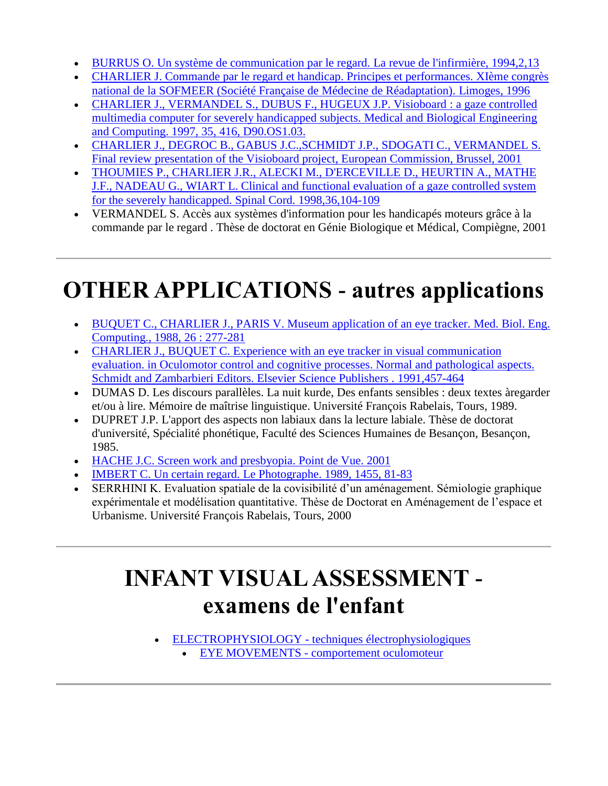- [BURRUS O. Un système de communication par le regard. La revue de l'infirmière, 1994,2,13](http://www.metrovision.fr/pdf/1994_burrus.pdf)
- [CHARLIER J. Commande par le regard et handicap. Principes et performances. XIème congrès](http://www.metrovision.fr/pdf/1996_charlier.pdf)  [national de la SOFMEER \(Société Française de Médecine de Réadaptation\). Limoges, 1996](http://www.metrovision.fr/pdf/1996_charlier.pdf)
- [CHARLIER J., VERMANDEL S., DUBUS F., HUGEUX J.P. Visioboard : a gaze controlled](http://www.metrovision.fr/pdf/1997_charlier.pdf)  [multimedia computer for severely handicapped subjects. Medical and Biological Engineering](http://www.metrovision.fr/pdf/1997_charlier.pdf)  [and Computing. 1997, 35, 416, D90.OS1.03.](http://www.metrovision.fr/pdf/1997_charlier.pdf)
- [CHARLIER J., DEGROC B., GABUS J.C.,SCHMIDT J.P., SDOGATI C., VERMANDEL S.](http://www.metrovision.fr/pdf/2001_charlier.pdf)  [Final review presentation of the Visioboard project, European Commission, Brussel, 2001](http://www.metrovision.fr/pdf/2001_charlier.pdf)
- [THOUMIES P., CHARLIER J.R., ALECKI M., D'ERCEVILLE D., HEURTIN A., MATHE](http://www.metrovision.fr/pdf/1998_thoumies.pdf)  [J.F., NADEAU G., WIART L. Clinical and functional evaluation of a gaze controlled system](http://www.metrovision.fr/pdf/1998_thoumies.pdf)  [for the severely handicapped. Spinal Cord. 1998,36,104-109](http://www.metrovision.fr/pdf/1998_thoumies.pdf)
- VERMANDEL S. Accès aux systèmes d'information pour les handicapés moteurs grâce à la commande par le regard . Thèse de doctorat en Génie Biologique et Médical, Compiègne, 2001

# **OTHER APPLICATIONS - autres applications**

- [BUQUET C., CHARLIER J., PARIS V. Museum application of an eye tracker. Med. Biol. Eng.](http://www.metrovision.fr/pdf/1988_buquet.pdf)  [Computing., 1988, 26 : 277-281](http://www.metrovision.fr/pdf/1988_buquet.pdf)
- [CHARLIER J., BUQUET C. Experience with an eye tracker in visual communication](http://www.metrovision.fr/pdf/1991_charlier.pdf)  [evaluation. in Oculomotor control and cognitive processes. Normal and pathological aspects.](http://www.metrovision.fr/pdf/1991_charlier.pdf)  [Schmidt and Zambarbieri Editors. Elsevier Science Publishers . 1991,457-464](http://www.metrovision.fr/pdf/1991_charlier.pdf)
- DUMAS D. Les discours parallèles. La nuit kurde, Des enfants sensibles : deux textes àregarder et/ou à lire. Mémoire de maîtrise linguistique. Université François Rabelais, Tours, 1989.
- DUPRET J.P. L'apport des aspects non labiaux dans la lecture labiale. Thèse de doctorat d'université, Spécialité phonétique, Faculté des Sciences Humaines de Besançon, Besançon, 1985.
- [HACHE J.C. Screen work and presbyopia. Point de Vue. 2001](http://www.metrovision.fr/pdf/2001_hache_B.pdf)
- [IMBERT C. Un certain regard. Le Photographe. 1989, 1455, 81-83](http://www.metrovision.fr/pdf/1989_imbert.pdf)
- SERRHINI K. Evaluation spatiale de la covisibilité d'un aménagement. Sémiologie graphique expérimentale et modélisation quantitative. Thèse de Doctorat en Aménagement de l'espace et Urbanisme. Université François Rabelais, Tours, 2000

### **INFANT VISUAL ASSESSMENT examens de l'enfant**

 ELECTROPHYSIOLOGY - [techniques électrophysiologiques](http://www.metrovision.fr/MFc25.html#enfant_elec) EYE MOVEMENTS - [comportement oculomoteur](http://www.metrovision.fr/MFc25.html#enfant_mouvement)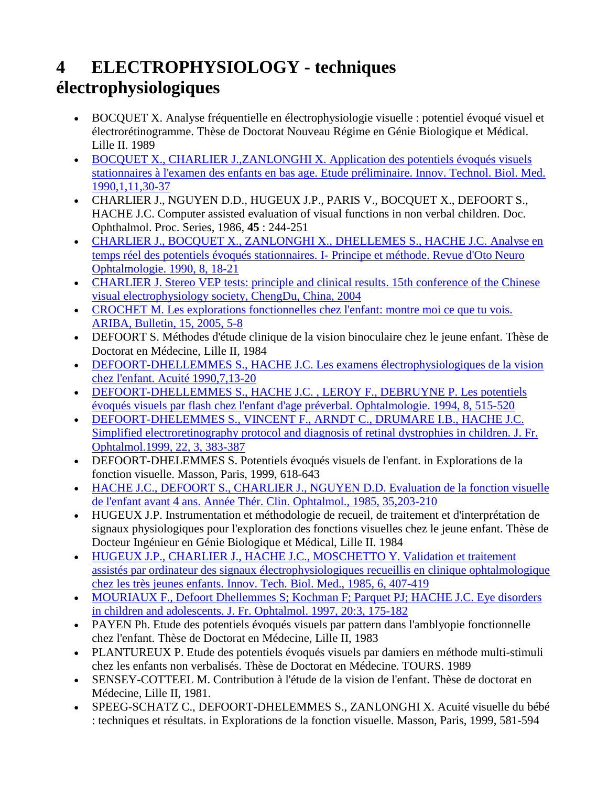#### **4 ELECTROPHYSIOLOGY - techniques électrophysiologiques**

- BOCQUET X. Analyse fréquentielle en électrophysiologie visuelle : potentiel évoqué visuel et électrorétinogramme. Thèse de Doctorat Nouveau Régime en Génie Biologique et Médical. Lille II. 1989
- [BOCQUET X., CHARLIER J.,ZANLONGHI X. Application des potentiels évoqués visuels](http://www.metrovision.fr/pdf/1990_bocquet.pdf)  [stationnaires à l'examen des enfants en bas age. Etude préliminaire. Innov. Technol. Biol. Med.](http://www.metrovision.fr/pdf/1990_bocquet.pdf)  [1990,1,11,30-37](http://www.metrovision.fr/pdf/1990_bocquet.pdf)
- CHARLIER J., NGUYEN D.D., HUGEUX J.P., PARIS V., BOCQUET X., DEFOORT S., HACHE J.C. Computer assisted evaluation of visual functions in non verbal children. Doc. Ophthalmol. Proc. Series, 1986, **45** : 244-251
- [CHARLIER J., BOCQUET X., ZANLONGHI X., DHELLEMES S., HACHE J.C. Analyse en](http://www.metrovision.fr/pdf/1990_charlier_B.pdf)  [temps réel des potentiels évoqués stationnaires. I-](http://www.metrovision.fr/pdf/1990_charlier_B.pdf) Principe et méthode. Revue d'Oto Neuro [Ophtalmologie. 1990, 8, 18-21](http://www.metrovision.fr/pdf/1990_charlier_B.pdf)
- [CHARLIER J. Stereo VEP tests: principle and clinical results. 15th conference of the Chinese](http://www.metrovision.fr/pdf/2004_charlier_E.pdf)  [visual electrophysiology society, ChengDu, China, 2004](http://www.metrovision.fr/pdf/2004_charlier_E.pdf)
- [CROCHET M. Les explorations fonctionnelles chez l'enfant: montre moi ce que tu vois.](http://www.metrovision.fr/pdf/2005_crochet.pdf)  [ARIBA, Bulletin, 15, 2005, 5-8](http://www.metrovision.fr/pdf/2005_crochet.pdf)
- DEFOORT S. Méthodes d'étude clinique de la vision binoculaire chez le jeune enfant. Thèse de Doctorat en Médecine, Lille II, 1984
- [DEFOORT-DHELLEMMES S., HACHE J.C. Les examens électrophysiologiques de la vision](http://www.metrovision.fr/pdf/1990_defoort.pdf)  [chez l'enfant. Acuité 1990,7,13-20](http://www.metrovision.fr/pdf/1990_defoort.pdf)
- [DEFOORT-DHELLEMMES S., HACHE J.C. , LEROY F., DEBRUYNE P. Les potentiels](http://www.metrovision.fr/pdf/1994_defoort.pdf)  [évoqués visuels par flash chez l'enfant d'age préverbal. Ophtalmologie. 1994, 8, 515-520](http://www.metrovision.fr/pdf/1994_defoort.pdf)
- DEFOORT-DHELEMMES S., VINCENT [F., ARNDT C., DRUMARE I.B., HACHE J.C.](http://www.metrovision.fr/pdf/1999_defoort.pdf)  [Simplified electroretinography protocol and diagnosis of retinal dystrophies in children. J. Fr.](http://www.metrovision.fr/pdf/1999_defoort.pdf)  [Ophtalmol.1999, 22, 3, 383-387](http://www.metrovision.fr/pdf/1999_defoort.pdf)
- DEFOORT-DHELEMMES S. Potentiels évoqués visuels de l'enfant. in Explorations de la fonction visuelle. Masson, Paris, 1999, 618-643
- [HACHE J.C., DEFOORT S., CHARLIER J., NGUYEN D.D. Evaluation de la fonction visuelle](http://www.metrovision.fr/pdf/1985_hache.pdf)  [de l'enfant avant 4 ans. Année Thér. Clin. Ophtalmol., 1985, 35,203-210](http://www.metrovision.fr/pdf/1985_hache.pdf)
- HUGEUX J.P. Instrumentation et méthodologie de recueil, de traitement et d'interprétation de signaux physiologiques pour l'exploration des fonctions visuelles chez le jeune enfant. Thèse de Docteur Ingénieur en Génie Biologique et Médical, Lille II. 1984
- [HUGEUX J.P., CHARLIER J., HACHE J.C., MOSCHETTO Y. Validation et traitement](http://www.metrovision.fr/pdf/1985_hugeux.pdf)  [assistés par ordinateur des signaux électrophysiologiques recueillis en clinique ophtalmologique](http://www.metrovision.fr/pdf/1985_hugeux.pdf)  [chez les très jeunes enfants. Innov. Tech. Biol. Med., 1985, 6, 407-419](http://www.metrovision.fr/pdf/1985_hugeux.pdf)
- [MOURIAUX F., Defoort Dhellemmes S; Kochman F; Parquet PJ; HACHE J.C. Eye disorders](http://www.metrovision.fr/MFdoc2.html#ab8)  [in children and adolescents. J. Fr. Ophtalmol. 1997, 20:3, 175-182](http://www.metrovision.fr/MFdoc2.html#ab8)
- PAYEN Ph. Etude des potentiels évoqués visuels par pattern dans l'amblyopie fonctionnelle chez l'enfant. Thèse de Doctorat en Médecine, Lille II, 1983
- PLANTUREUX P. Etude des potentiels évoqués visuels par damiers en méthode multi-stimuli chez les enfants non verbalisés. Thèse de Doctorat en Médecine. TOURS. 1989
- SENSEY-COTTEEL M. Contribution à l'étude de la vision de l'enfant. Thèse de doctorat en Médecine, Lille II, 1981.
- SPEEG-SCHATZ C., DEFOORT-DHELEMMES S., ZANLONGHI X. Acuité visuelle du bébé : techniques et résultats. in Explorations de la fonction visuelle. Masson, Paris, 1999, 581-594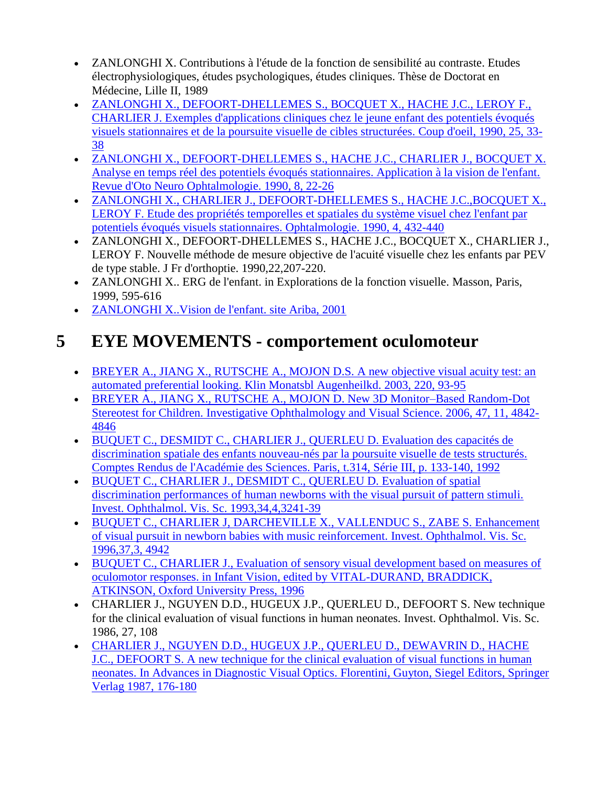- ZANLONGHI X. Contributions à l'étude de la fonction de sensibilité au contraste. Etudes électrophysiologiques, études psychologiques, études cliniques. Thèse de Doctorat en Médecine, Lille II, 1989
- [ZANLONGHI X., DEFOORT-DHELLEMES S., BOCQUET X., HACHE J.C., LEROY F.,](http://www.metrovision.fr/pdf/1990_zanlonghi.pdf)  [CHARLIER J. Exemples d'applications cliniques chez le jeune enfant des potentiels évoqués](http://www.metrovision.fr/pdf/1990_zanlonghi.pdf)  [visuels stationnaires et de la poursuite visuelle de cibles structurées. Coup d'oeil, 1990, 25, 33-](http://www.metrovision.fr/pdf/1990_zanlonghi.pdf) [38](http://www.metrovision.fr/pdf/1990_zanlonghi.pdf)
- [ZANLONGHI X., DEFOORT-DHELLEMES S., HACHE J.C., CHARLIER J., BOCQUET X.](http://www.metrovision.fr/pdf/1990_zanloghi_B.pdf)  [Analyse en temps réel des potentiels évoqués stationnaires. Application à la vision de l'enfant.](http://www.metrovision.fr/pdf/1990_zanloghi_B.pdf)  [Revue d'Oto Neuro Ophtalmologie. 1990, 8, 22-26](http://www.metrovision.fr/pdf/1990_zanloghi_B.pdf)
- [ZANLONGHI X., CHARLIER J., DEFOORT-DHELLEMES S., HACHE J.C.,BOCQUET X.,](http://www.metrovision.fr/pdf/1990_zanlonghi_C.pdf)  [LEROY F. Etude des propriétés temporelles et spatiales du système visuel chez l'enfant par](http://www.metrovision.fr/pdf/1990_zanlonghi_C.pdf)  [potentiels évoqués visuels stationnaires. Ophtalmologie. 1990, 4, 432-440](http://www.metrovision.fr/pdf/1990_zanlonghi_C.pdf)
- ZANLONGHI X., DEFOORT-DHELLEMES S., HACHE J.C., BOCQUET X., CHARLIER J., LEROY F. Nouvelle méthode de mesure objective de l'acuité visuelle chez les enfants par PEV de type stable. J Fr d'orthoptie. 1990,22,207-220.
- ZANLONGHI X.. ERG de l'enfant. in Explorations de la fonction visuelle. Masson, Paris, 1999, 595-616
- [ZANLONGHI X..Vision de l'enfant. site Ariba, 2001](http://www.metrovision.fr/pdf/2001_zanlonghi.pdf)

#### **5 EYE MOVEMENTS - comportement oculomoteur**

- [BREYER A., JIANG X., RUTSCHE A., MOJON D.S. A new objective visual acuity test: an](http://www.metrovision.fr/pdf/2003_breyer.pdf)  [automated preferential looking. Klin Monatsbl Augenheilkd. 2003, 220, 93-95](http://www.metrovision.fr/pdf/2003_breyer.pdf)
- [BREYER A., JIANG X., RUTSCHE A., MOJON D. New 3D Monitor–Based Random-Dot](http://www.metrovision.fr/pdf/2006_breyer.pdf)  [Stereotest for Children. Investigative Ophthalmology and Visual Science. 2006, 47, 11, 4842-](http://www.metrovision.fr/pdf/2006_breyer.pdf) [4846](http://www.metrovision.fr/pdf/2006_breyer.pdf)
- [BUQUET C., DESMIDT C., CHARLIER J., QUERLEU D. Evaluation des capacités de](http://www.metrovision.fr/pdf/1992_buquet.pdf)  [discrimination spatiale des enfants nouveau-nés par la poursuite visuelle de tests structurés.](http://www.metrovision.fr/pdf/1992_buquet.pdf)  [Comptes Rendus de l'Académie des Sciences. Paris,](http://www.metrovision.fr/pdf/1992_buquet.pdf) t.314, Série III, p. 133-140, 1992
- [BUQUET C., CHARLIER J., DESMIDT C., QUERLEU D. Evaluation of spatial](http://www.metrovision.fr/pdf/1993_buquet_B.pdf)  [discrimination performances of human newborns with the visual pursuit of pattern stimuli.](http://www.metrovision.fr/pdf/1993_buquet_B.pdf)  [Invest. Ophthalmol. Vis. Sc. 1993,34,4,3241-39](http://www.metrovision.fr/pdf/1993_buquet_B.pdf)
- [BUQUET C., CHARLIER J, DARCHEVILLE X., VALLENDUC S., ZABE S. Enhancement](http://www.metrovision.fr/pdf/1996_buquet_B.pdf)  [of visual pursuit in newborn babies with music reinforcement. Invest. Ophthalmol. Vis. Sc.](http://www.metrovision.fr/pdf/1996_buquet_B.pdf)  [1996,37,3, 4942](http://www.metrovision.fr/pdf/1996_buquet_B.pdf)
- [BUQUET C., CHARLIER J., Evaluation of sensory visual development based on measures of](http://www.metrovision.fr/pdf/1996_buquet.pdf)  [oculomotor responses. in Infant Vision, edited by VITAL-DURAND, BRADDICK,](http://www.metrovision.fr/pdf/1996_buquet.pdf)  [ATKINSON, Oxford University Press, 1996](http://www.metrovision.fr/pdf/1996_buquet.pdf)
- CHARLIER J., NGUYEN D.D., HUGEUX J.P., QUERLEU D., DEFOORT S. New technique for the clinical evaluation of visual functions in human neonates. Invest. Ophthalmol. Vis. Sc. 1986, 27, 108
- [CHARLIER J., NGUYEN D.D., HUGEUX J.P., QUERLEU D., DEWAVRIN D., HACHE](http://www.metrovision.fr/pdf/1987_charlier_B.pdf)  [J.C., DEFOORT S. A new technique for the clinical evaluation of visual functions in human](http://www.metrovision.fr/pdf/1987_charlier_B.pdf)  [neonates. In Advances in Diagnostic Visual Optics. Florentini, Guyton, Siegel Editors, Springer](http://www.metrovision.fr/pdf/1987_charlier_B.pdf)  [Verlag 1987, 176-180](http://www.metrovision.fr/pdf/1987_charlier_B.pdf)